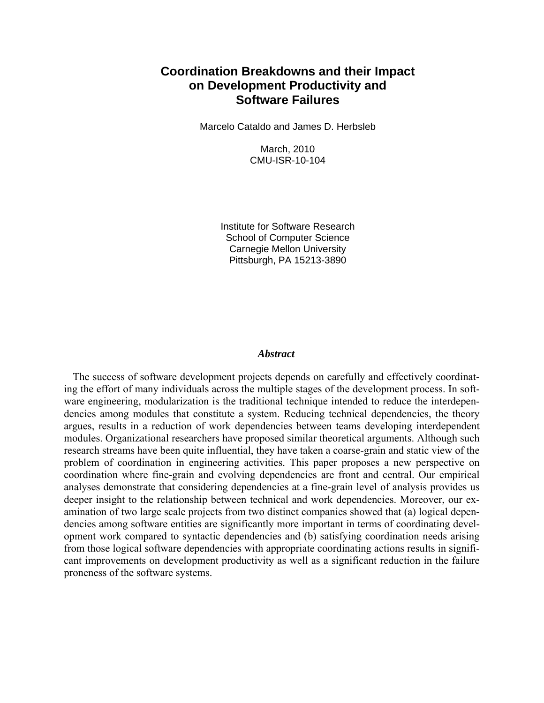## **Coordination Breakdowns and their Impact on Development Productivity and Software Failures**

Marcelo Cataldo and James D. Herbsleb

March, 2010 CMU-ISR-10-104

Institute for Software Research School of Computer Science Carnegie Mellon University Pittsburgh, PA 15213-3890

#### *Abstract*

The success of software development projects depends on carefully and effectively coordinating the effort of many individuals across the multiple stages of the development process. In software engineering, modularization is the traditional technique intended to reduce the interdependencies among modules that constitute a system. Reducing technical dependencies, the theory argues, results in a reduction of work dependencies between teams developing interdependent modules. Organizational researchers have proposed similar theoretical arguments. Although such research streams have been quite influential, they have taken a coarse-grain and static view of the problem of coordination in engineering activities. This paper proposes a new perspective on coordination where fine-grain and evolving dependencies are front and central. Our empirical analyses demonstrate that considering dependencies at a fine-grain level of analysis provides us deeper insight to the relationship between technical and work dependencies. Moreover, our examination of two large scale projects from two distinct companies showed that (a) logical dependencies among software entities are significantly more important in terms of coordinating development work compared to syntactic dependencies and (b) satisfying coordination needs arising from those logical software dependencies with appropriate coordinating actions results in significant improvements on development productivity as well as a significant reduction in the failure proneness of the software systems.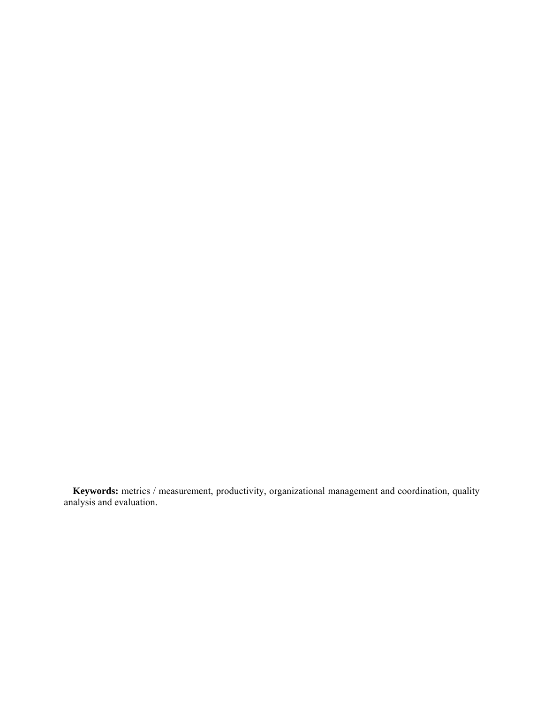**Keywords:** metrics / measurement, productivity, organizational management and coordination, quality analysis and evaluation.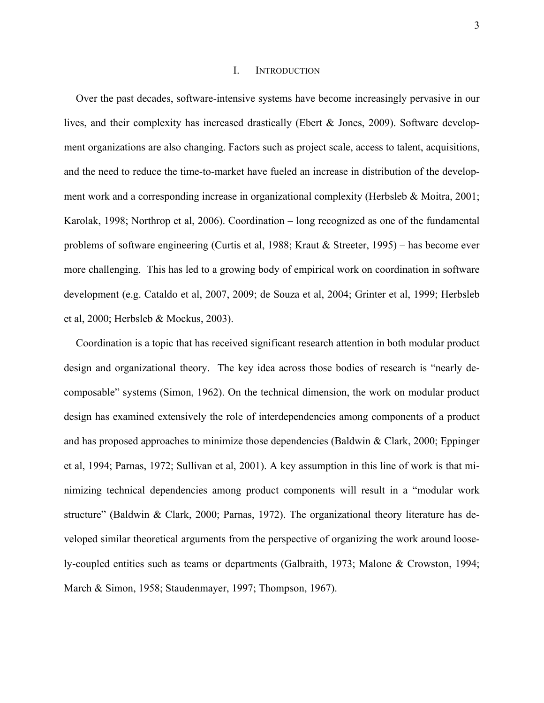#### I. INTRODUCTION

Over the past decades, software-intensive systems have become increasingly pervasive in our lives, and their complexity has increased drastically (Ebert & Jones, 2009). Software development organizations are also changing. Factors such as project scale, access to talent, acquisitions, and the need to reduce the time-to-market have fueled an increase in distribution of the development work and a corresponding increase in organizational complexity (Herbsleb  $\&$  Moitra, 2001; Karolak, 1998; Northrop et al, 2006). Coordination – long recognized as one of the fundamental problems of software engineering (Curtis et al, 1988; Kraut & Streeter, 1995) – has become ever more challenging. This has led to a growing body of empirical work on coordination in software development (e.g. Cataldo et al, 2007, 2009; de Souza et al, 2004; Grinter et al, 1999; Herbsleb et al, 2000; Herbsleb & Mockus, 2003).

Coordination is a topic that has received significant research attention in both modular product design and organizational theory. The key idea across those bodies of research is "nearly decomposable" systems (Simon, 1962). On the technical dimension, the work on modular product design has examined extensively the role of interdependencies among components of a product and has proposed approaches to minimize those dependencies (Baldwin & Clark, 2000; Eppinger et al, 1994; Parnas, 1972; Sullivan et al, 2001). A key assumption in this line of work is that minimizing technical dependencies among product components will result in a "modular work structure" (Baldwin & Clark, 2000; Parnas, 1972). The organizational theory literature has developed similar theoretical arguments from the perspective of organizing the work around loosely-coupled entities such as teams or departments (Galbraith, 1973; Malone & Crowston, 1994; March & Simon, 1958; Staudenmayer, 1997; Thompson, 1967).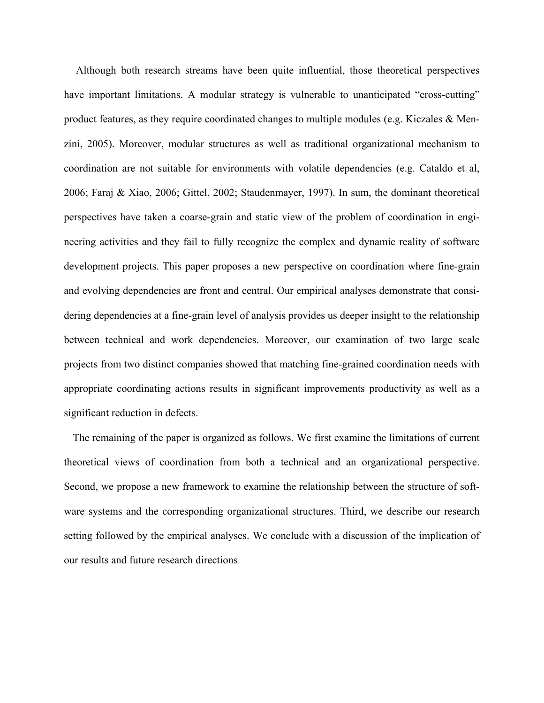Although both research streams have been quite influential, those theoretical perspectives have important limitations. A modular strategy is vulnerable to unanticipated "cross-cutting" product features, as they require coordinated changes to multiple modules (e.g. Kiczales & Menzini, 2005). Moreover, modular structures as well as traditional organizational mechanism to coordination are not suitable for environments with volatile dependencies (e.g. Cataldo et al, 2006; Faraj & Xiao, 2006; Gittel, 2002; Staudenmayer, 1997). In sum, the dominant theoretical perspectives have taken a coarse-grain and static view of the problem of coordination in engineering activities and they fail to fully recognize the complex and dynamic reality of software development projects. This paper proposes a new perspective on coordination where fine-grain and evolving dependencies are front and central. Our empirical analyses demonstrate that considering dependencies at a fine-grain level of analysis provides us deeper insight to the relationship between technical and work dependencies. Moreover, our examination of two large scale projects from two distinct companies showed that matching fine-grained coordination needs with appropriate coordinating actions results in significant improvements productivity as well as a significant reduction in defects.

The remaining of the paper is organized as follows. We first examine the limitations of current theoretical views of coordination from both a technical and an organizational perspective. Second, we propose a new framework to examine the relationship between the structure of software systems and the corresponding organizational structures. Third, we describe our research setting followed by the empirical analyses. We conclude with a discussion of the implication of our results and future research directions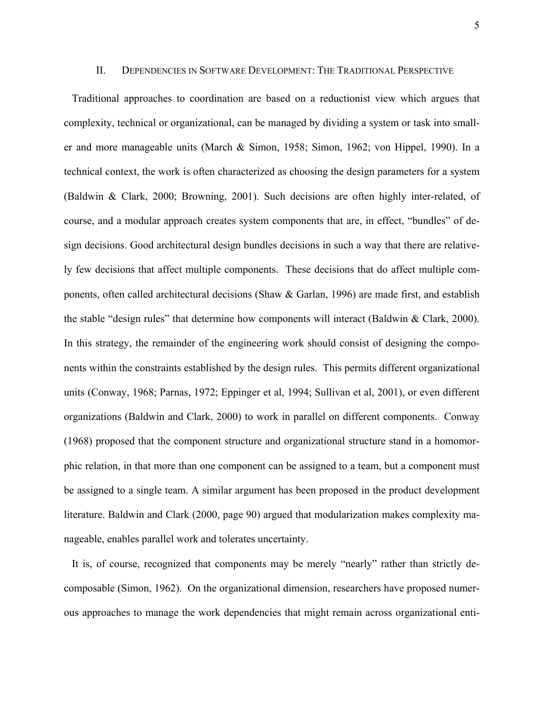#### II. DEPENDENCIES IN SOFTWARE DEVELOPMENT: THE TRADITIONAL PERSPECTIVE

Traditional approaches to coordination are based on a reductionist view which argues that complexity, technical or organizational, can be managed by dividing a system or task into smaller and more manageable units (March & Simon, 1958; Simon, 1962; von Hippel, 1990). In a technical context, the work is often characterized as choosing the design parameters for a system (Baldwin & Clark, 2000; Browning, 2001). Such decisions are often highly inter-related, of course, and a modular approach creates system components that are, in effect, "bundles" of design decisions. Good architectural design bundles decisions in such a way that there are relatively few decisions that affect multiple components. These decisions that do affect multiple components, often called architectural decisions (Shaw & Garlan, 1996) are made first, and establish the stable "design rules" that determine how components will interact (Baldwin & Clark, 2000). In this strategy, the remainder of the engineering work should consist of designing the components within the constraints established by the design rules. This permits different organizational units (Conway, 1968; Parnas, 1972; Eppinger et al, 1994; Sullivan et al, 2001), or even different organizations (Baldwin and Clark, 2000) to work in parallel on different components. Conway (1968) proposed that the component structure and organizational structure stand in a homomorphic relation, in that more than one component can be assigned to a team, but a component must be assigned to a single team. A similar argument has been proposed in the product development literature. Baldwin and Clark (2000, page 90) argued that modularization makes complexity manageable, enables parallel work and tolerates uncertainty.

It is, of course, recognized that components may be merely "nearly" rather than strictly decomposable (Simon, 1962). On the organizational dimension, researchers have proposed numerous approaches to manage the work dependencies that might remain across organizational enti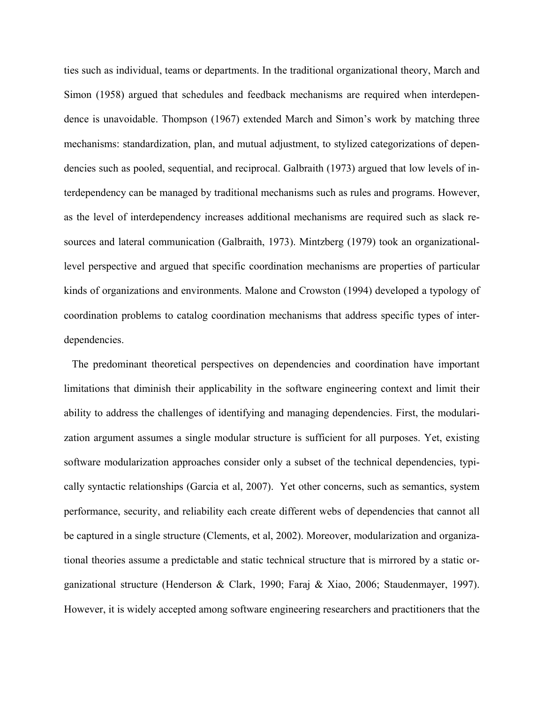ties such as individual, teams or departments. In the traditional organizational theory, March and Simon (1958) argued that schedules and feedback mechanisms are required when interdependence is unavoidable. Thompson (1967) extended March and Simon's work by matching three mechanisms: standardization, plan, and mutual adjustment, to stylized categorizations of dependencies such as pooled, sequential, and reciprocal. Galbraith (1973) argued that low levels of interdependency can be managed by traditional mechanisms such as rules and programs. However, as the level of interdependency increases additional mechanisms are required such as slack resources and lateral communication (Galbraith, 1973). Mintzberg (1979) took an organizationallevel perspective and argued that specific coordination mechanisms are properties of particular kinds of organizations and environments. Malone and Crowston (1994) developed a typology of coordination problems to catalog coordination mechanisms that address specific types of interdependencies.

The predominant theoretical perspectives on dependencies and coordination have important limitations that diminish their applicability in the software engineering context and limit their ability to address the challenges of identifying and managing dependencies. First, the modularization argument assumes a single modular structure is sufficient for all purposes. Yet, existing software modularization approaches consider only a subset of the technical dependencies, typically syntactic relationships (Garcia et al, 2007). Yet other concerns, such as semantics, system performance, security, and reliability each create different webs of dependencies that cannot all be captured in a single structure (Clements, et al, 2002). Moreover, modularization and organizational theories assume a predictable and static technical structure that is mirrored by a static organizational structure (Henderson & Clark, 1990; Faraj & Xiao, 2006; Staudenmayer, 1997). However, it is widely accepted among software engineering researchers and practitioners that the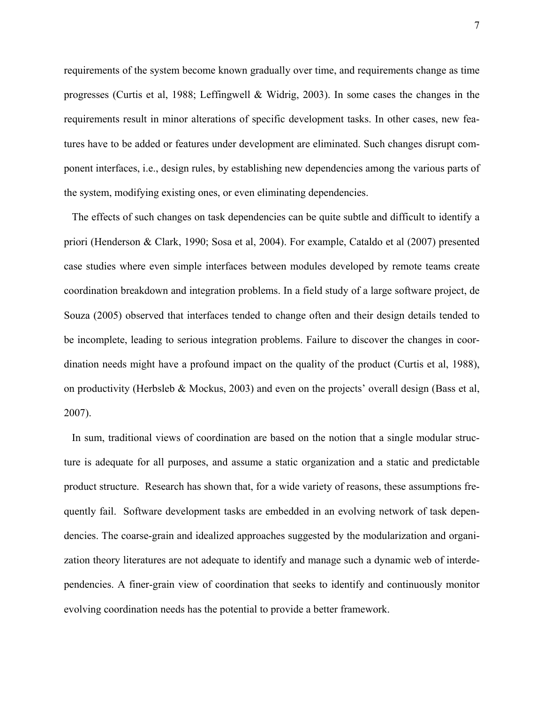requirements of the system become known gradually over time, and requirements change as time progresses (Curtis et al, 1988; Leffingwell & Widrig, 2003). In some cases the changes in the requirements result in minor alterations of specific development tasks. In other cases, new features have to be added or features under development are eliminated. Such changes disrupt component interfaces, i.e., design rules, by establishing new dependencies among the various parts of the system, modifying existing ones, or even eliminating dependencies.

The effects of such changes on task dependencies can be quite subtle and difficult to identify a priori (Henderson & Clark, 1990; Sosa et al, 2004). For example, Cataldo et al (2007) presented case studies where even simple interfaces between modules developed by remote teams create coordination breakdown and integration problems. In a field study of a large software project, de Souza (2005) observed that interfaces tended to change often and their design details tended to be incomplete, leading to serious integration problems. Failure to discover the changes in coordination needs might have a profound impact on the quality of the product (Curtis et al, 1988), on productivity (Herbsleb & Mockus, 2003) and even on the projects' overall design (Bass et al, 2007).

In sum, traditional views of coordination are based on the notion that a single modular structure is adequate for all purposes, and assume a static organization and a static and predictable product structure. Research has shown that, for a wide variety of reasons, these assumptions frequently fail. Software development tasks are embedded in an evolving network of task dependencies. The coarse-grain and idealized approaches suggested by the modularization and organization theory literatures are not adequate to identify and manage such a dynamic web of interdependencies. A finer-grain view of coordination that seeks to identify and continuously monitor evolving coordination needs has the potential to provide a better framework.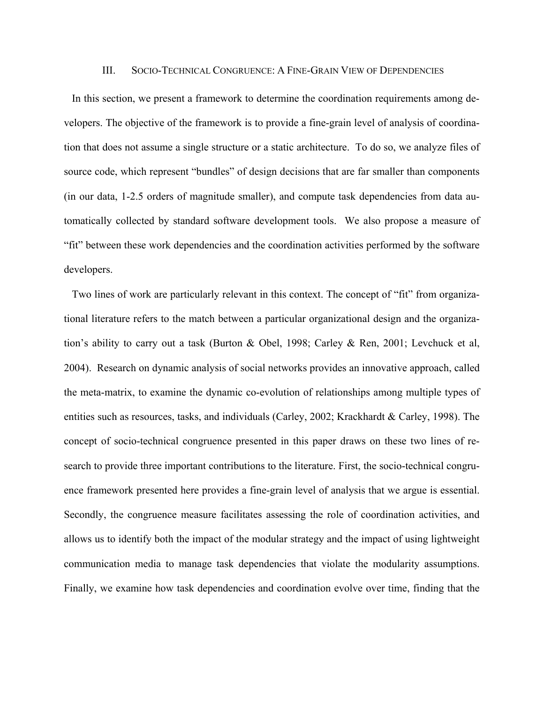#### III. SOCIO-TECHNICAL CONGRUENCE: A FINE-GRAIN VIEW OF DEPENDENCIES

In this section, we present a framework to determine the coordination requirements among developers. The objective of the framework is to provide a fine-grain level of analysis of coordination that does not assume a single structure or a static architecture. To do so, we analyze files of source code, which represent "bundles" of design decisions that are far smaller than components (in our data, 1-2.5 orders of magnitude smaller), and compute task dependencies from data automatically collected by standard software development tools. We also propose a measure of "fit" between these work dependencies and the coordination activities performed by the software developers.

Two lines of work are particularly relevant in this context. The concept of "fit" from organizational literature refers to the match between a particular organizational design and the organization's ability to carry out a task (Burton & Obel, 1998; Carley & Ren, 2001; Levchuck et al, 2004). Research on dynamic analysis of social networks provides an innovative approach, called the meta-matrix, to examine the dynamic co-evolution of relationships among multiple types of entities such as resources, tasks, and individuals (Carley, 2002; Krackhardt & Carley, 1998). The concept of socio-technical congruence presented in this paper draws on these two lines of research to provide three important contributions to the literature. First, the socio-technical congruence framework presented here provides a fine-grain level of analysis that we argue is essential. Secondly, the congruence measure facilitates assessing the role of coordination activities, and allows us to identify both the impact of the modular strategy and the impact of using lightweight communication media to manage task dependencies that violate the modularity assumptions. Finally, we examine how task dependencies and coordination evolve over time, finding that the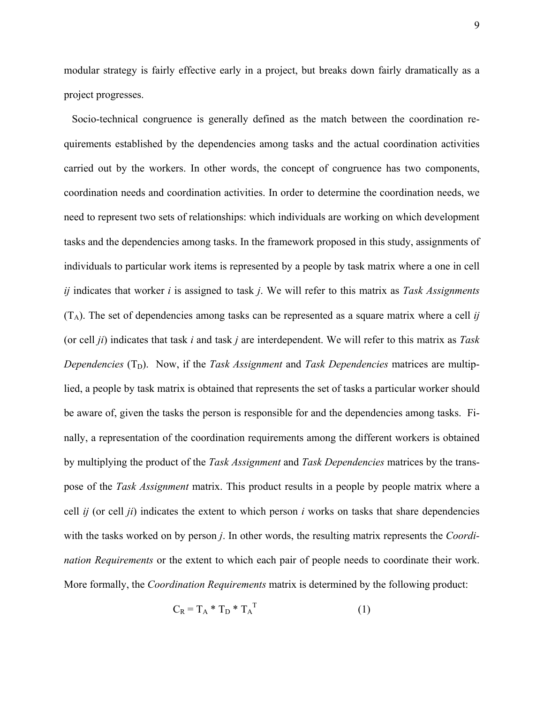modular strategy is fairly effective early in a project, but breaks down fairly dramatically as a project progresses.

Socio-technical congruence is generally defined as the match between the coordination requirements established by the dependencies among tasks and the actual coordination activities carried out by the workers. In other words, the concept of congruence has two components, coordination needs and coordination activities. In order to determine the coordination needs, we need to represent two sets of relationships: which individuals are working on which development tasks and the dependencies among tasks. In the framework proposed in this study, assignments of individuals to particular work items is represented by a people by task matrix where a one in cell *ij* indicates that worker *i* is assigned to task *j*. We will refer to this matrix as *Task Assignments*  $(T_A)$ . The set of dependencies among tasks can be represented as a square matrix where a cell *ij* (or cell *ji*) indicates that task *i* and task *j* are interdependent. We will refer to this matrix as *Task Dependencies*  $(T_D)$ . Now, if the *Task Assignment* and *Task Dependencies* matrices are multiplied, a people by task matrix is obtained that represents the set of tasks a particular worker should be aware of, given the tasks the person is responsible for and the dependencies among tasks. Finally, a representation of the coordination requirements among the different workers is obtained by multiplying the product of the *Task Assignment* and *Task Dependencies* matrices by the transpose of the *Task Assignment* matrix. This product results in a people by people matrix where a cell *ij* (or cell *ji*) indicates the extent to which person *i* works on tasks that share dependencies with the tasks worked on by person *j*. In other words, the resulting matrix represents the *Coordination Requirements* or the extent to which each pair of people needs to coordinate their work. More formally, the *Coordination Requirements* matrix is determined by the following product:

$$
C_R = T_A * T_D * T_A^T
$$
 (1)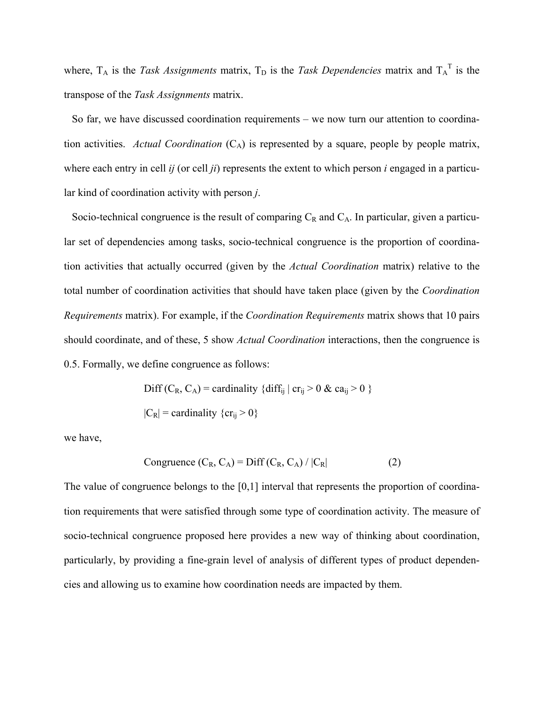where,  $T_A$  is the *Task Assignments* matrix,  $T_D$  is the *Task Dependencies* matrix and  $T_A^T$  is the transpose of the *Task Assignments* matrix.

So far, we have discussed coordination requirements – we now turn our attention to coordination activities. *Actual Coordination*  $(C_A)$  is represented by a square, people by people matrix, where each entry in cell *ij* (or cell *ji*) represents the extent to which person *i* engaged in a particular kind of coordination activity with person *j*.

Socio-technical congruence is the result of comparing  $C_R$  and  $C_A$ . In particular, given a particular set of dependencies among tasks, socio-technical congruence is the proportion of coordination activities that actually occurred (given by the *Actual Coordination* matrix) relative to the total number of coordination activities that should have taken place (given by the *Coordination Requirements* matrix). For example, if the *Coordination Requirements* matrix shows that 10 pairs should coordinate, and of these, 5 show *Actual Coordination* interactions, then the congruence is 0.5. Formally, we define congruence as follows:

> Diff  $(C_R, C_A)$  = cardinality {diff<sub>ij</sub> | cr<sub>ij</sub> > 0 & ca<sub>ij</sub> > 0 }  $|C_R|$  = cardinality {cr<sub>ij</sub> > 0}

we have,

$$
Congruence (C_R, C_A) = Diff (C_R, C_A) / |C_R|
$$
 (2)

The value of congruence belongs to the [0,1] interval that represents the proportion of coordination requirements that were satisfied through some type of coordination activity. The measure of socio-technical congruence proposed here provides a new way of thinking about coordination, particularly, by providing a fine-grain level of analysis of different types of product dependencies and allowing us to examine how coordination needs are impacted by them.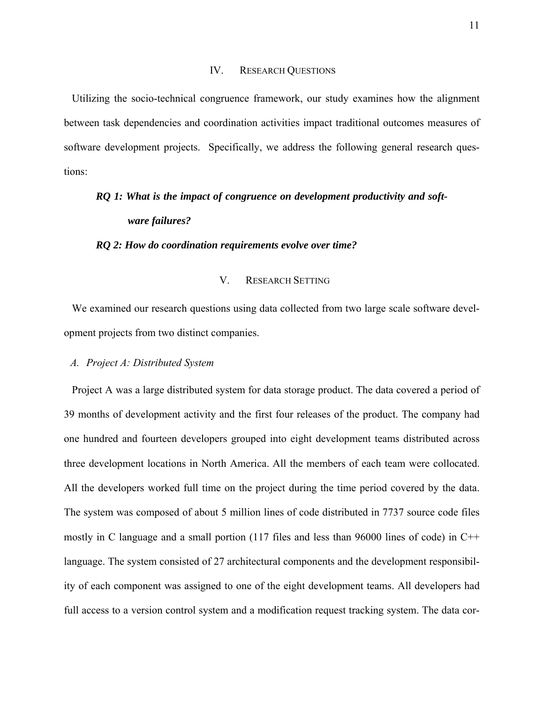#### IV. RESEARCH QUESTIONS

Utilizing the socio-technical congruence framework, our study examines how the alignment between task dependencies and coordination activities impact traditional outcomes measures of software development projects. Specifically, we address the following general research questions:

# *RQ 1: What is the impact of congruence on development productivity and software failures?*

*RQ 2: How do coordination requirements evolve over time?* 

## V. RESEARCH SETTING

We examined our research questions using data collected from two large scale software development projects from two distinct companies.

#### *A. Project A: Distributed System*

Project A was a large distributed system for data storage product. The data covered a period of 39 months of development activity and the first four releases of the product. The company had one hundred and fourteen developers grouped into eight development teams distributed across three development locations in North America. All the members of each team were collocated. All the developers worked full time on the project during the time period covered by the data. The system was composed of about 5 million lines of code distributed in 7737 source code files mostly in C language and a small portion (117 files and less than 96000 lines of code) in C++ language. The system consisted of 27 architectural components and the development responsibility of each component was assigned to one of the eight development teams. All developers had full access to a version control system and a modification request tracking system. The data cor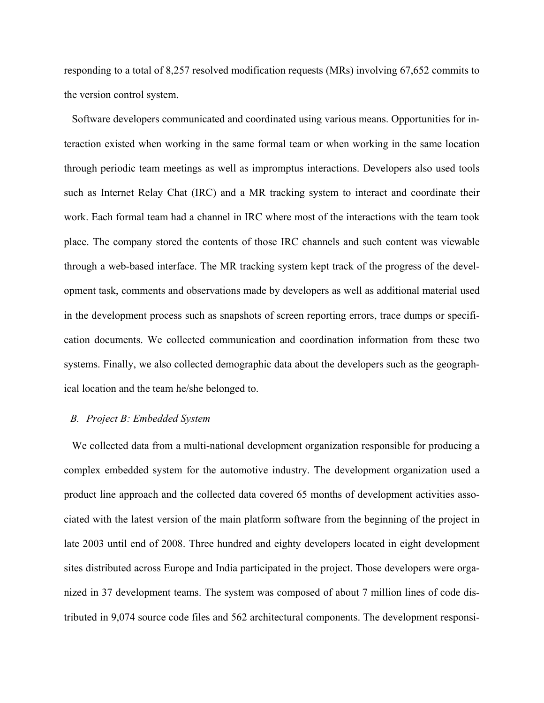responding to a total of 8,257 resolved modification requests (MRs) involving 67,652 commits to the version control system.

Software developers communicated and coordinated using various means. Opportunities for interaction existed when working in the same formal team or when working in the same location through periodic team meetings as well as impromptus interactions. Developers also used tools such as Internet Relay Chat (IRC) and a MR tracking system to interact and coordinate their work. Each formal team had a channel in IRC where most of the interactions with the team took place. The company stored the contents of those IRC channels and such content was viewable through a web-based interface. The MR tracking system kept track of the progress of the development task, comments and observations made by developers as well as additional material used in the development process such as snapshots of screen reporting errors, trace dumps or specification documents. We collected communication and coordination information from these two systems. Finally, we also collected demographic data about the developers such as the geographical location and the team he/she belonged to.

#### *B. Project B: Embedded System*

We collected data from a multi-national development organization responsible for producing a complex embedded system for the automotive industry. The development organization used a product line approach and the collected data covered 65 months of development activities associated with the latest version of the main platform software from the beginning of the project in late 2003 until end of 2008. Three hundred and eighty developers located in eight development sites distributed across Europe and India participated in the project. Those developers were organized in 37 development teams. The system was composed of about 7 million lines of code distributed in 9,074 source code files and 562 architectural components. The development responsi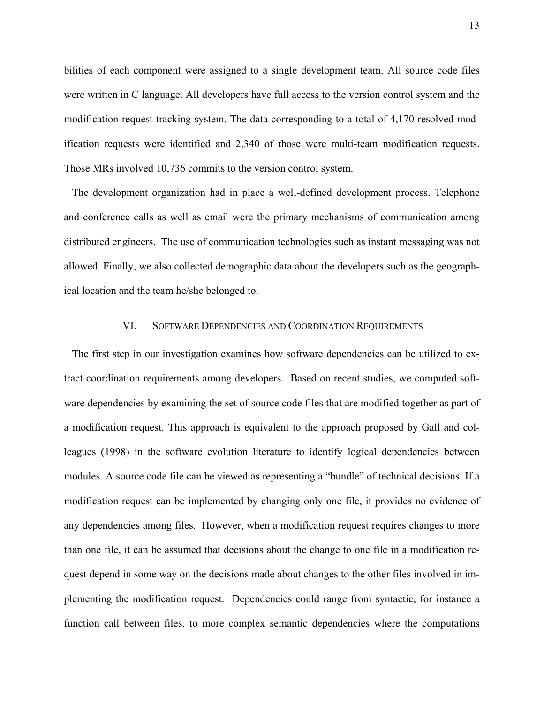bilities of each component were assigned to a single development team. All source code files were written in C language. All developers have full access to the version control system and the modification request tracking system. The data corresponding to a total of 4,170 resolved modification requests were identified and 2,340 of those were multi-team modification requests. Those MRs involved 10,736 commits to the version control system.

The development organization had in place a well-defined development process. Telephone and conference calls as well as email were the primary mechanisms of communication among distributed engineers. The use of communication technologies such as instant messaging was not allowed. Finally, we also collected demographic data about the developers such as the geographical location and the team he/she belonged to.

#### VI. SOFTWARE DEPENDENCIES AND COORDINATION REQUIREMENTS

The first step in our investigation examines how software dependencies can be utilized to extract coordination requirements among developers. Based on recent studies, we computed software dependencies by examining the set of source code files that are modified together as part of a modification request. This approach is equivalent to the approach proposed by Gall and colleagues (1998) in the software evolution literature to identify logical dependencies between modules. A source code file can be viewed as representing a "bundle" of technical decisions. If a modification request can be implemented by changing only one file, it provides no evidence of any dependencies among files. However, when a modification request requires changes to more than one file, it can be assumed that decisions about the change to one file in a modification request depend in some way on the decisions made about changes to the other files involved in implementing the modification request. Dependencies could range from syntactic, for instance a function call between files, to more complex semantic dependencies where the computations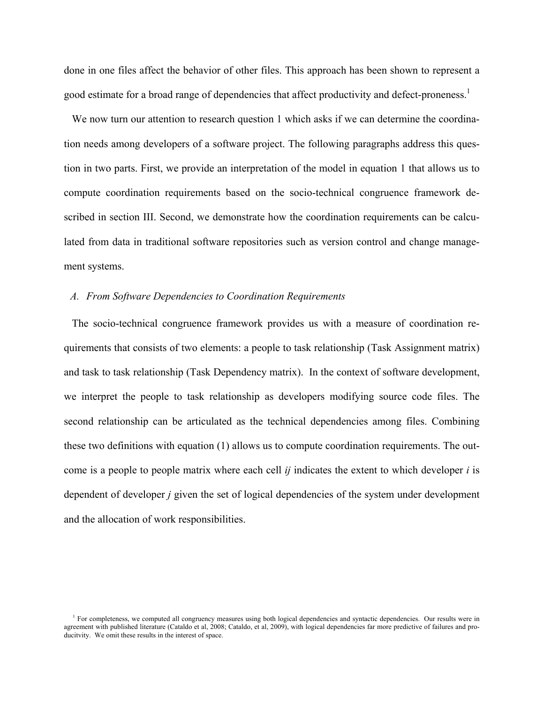done in one files affect the behavior of other files. This approach has been shown to represent a good estimate for a broad range of dependencies that affect productivity and defect-proneness.<sup>1</sup>

We now turn our attention to research question 1 which asks if we can determine the coordination needs among developers of a software project. The following paragraphs address this question in two parts. First, we provide an interpretation of the model in equation 1 that allows us to compute coordination requirements based on the socio-technical congruence framework described in section III. Second, we demonstrate how the coordination requirements can be calculated from data in traditional software repositories such as version control and change management systems.

#### *A. From Software Dependencies to Coordination Requirements*

The socio-technical congruence framework provides us with a measure of coordination requirements that consists of two elements: a people to task relationship (Task Assignment matrix) and task to task relationship (Task Dependency matrix). In the context of software development, we interpret the people to task relationship as developers modifying source code files. The second relationship can be articulated as the technical dependencies among files. Combining these two definitions with equation (1) allows us to compute coordination requirements. The outcome is a people to people matrix where each cell *ij* indicates the extent to which developer *i* is dependent of developer *j* given the set of logical dependencies of the system under development and the allocation of work responsibilities.

<sup>&</sup>lt;sup>1</sup> For completeness, we computed all congruency measures using both logical dependencies and syntactic dependencies. Our results were in agreement with published literature (Cataldo et al, 2008; Cataldo, et al, 2009), with logical dependencies far more predictive of failures and producitvity. We omit these results in the interest of space.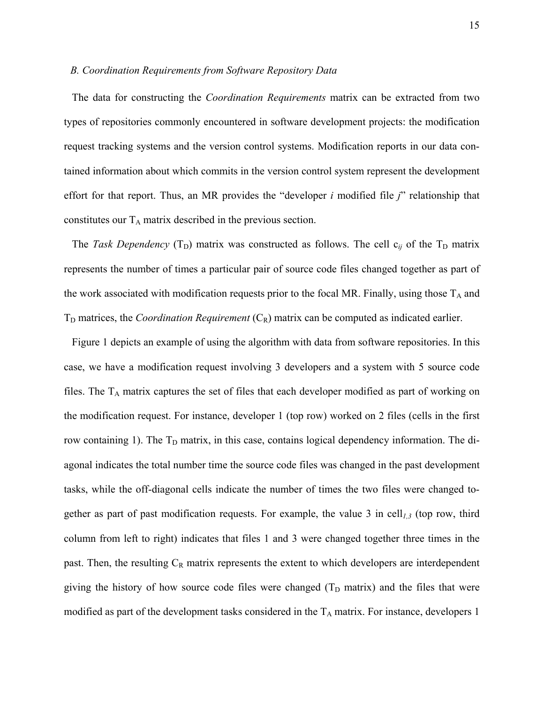#### *B. Coordination Requirements from Software Repository Data*

The data for constructing the *Coordination Requirements* matrix can be extracted from two types of repositories commonly encountered in software development projects: the modification request tracking systems and the version control systems. Modification reports in our data contained information about which commits in the version control system represent the development effort for that report. Thus, an MR provides the "developer *i* modified file *j*" relationship that constitutes our  $T_A$  matrix described in the previous section.

The *Task Dependency* ( $T_D$ ) matrix was constructed as follows. The cell  $c_{ij}$  of the  $T_D$  matrix represents the number of times a particular pair of source code files changed together as part of the work associated with modification requests prior to the focal MR. Finally, using those  $T_A$  and  $T_D$  matrices, the *Coordination Requirement*  $(C_R)$  matrix can be computed as indicated earlier.

Figure 1 depicts an example of using the algorithm with data from software repositories. In this case, we have a modification request involving 3 developers and a system with 5 source code files. The  $T_A$  matrix captures the set of files that each developer modified as part of working on the modification request. For instance, developer 1 (top row) worked on 2 files (cells in the first row containing 1). The  $T_D$  matrix, in this case, contains logical dependency information. The diagonal indicates the total number time the source code files was changed in the past development tasks, while the off-diagonal cells indicate the number of times the two files were changed together as part of past modification requests. For example, the value 3 in cell*1,3* (top row, third column from left to right) indicates that files 1 and 3 were changed together three times in the past. Then, the resulting  $C_R$  matrix represents the extent to which developers are interdependent giving the history of how source code files were changed  $(T_D \text{ matrix})$  and the files that were modified as part of the development tasks considered in the  $T_A$  matrix. For instance, developers 1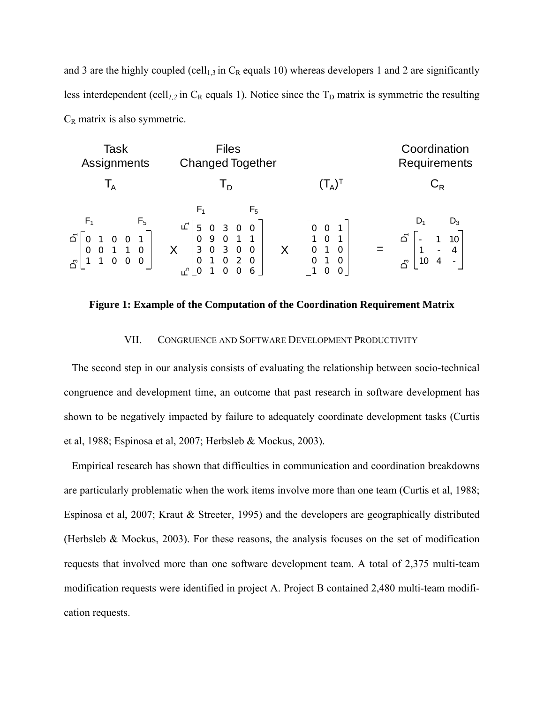and 3 are the highly coupled (cell<sub>1,3</sub> in  $C_R$  equals 10) whereas developers 1 and 2 are significantly less interdependent (cell<sub>*l*,2</sub> in  $C_R$  equals 1). Notice since the  $T_D$  matrix is symmetric the resulting  $C_R$  matrix is also symmetric.



**Figure 1: Example of the Computation of the Coordination Requirement Matrix** 

#### VII. CONGRUENCE AND SOFTWARE DEVELOPMENT PRODUCTIVITY

The second step in our analysis consists of evaluating the relationship between socio-technical congruence and development time, an outcome that past research in software development has shown to be negatively impacted by failure to adequately coordinate development tasks (Curtis et al, 1988; Espinosa et al, 2007; Herbsleb & Mockus, 2003).

Empirical research has shown that difficulties in communication and coordination breakdowns are particularly problematic when the work items involve more than one team (Curtis et al, 1988; Espinosa et al, 2007; Kraut & Streeter, 1995) and the developers are geographically distributed (Herbsleb & Mockus, 2003). For these reasons, the analysis focuses on the set of modification requests that involved more than one software development team. A total of 2,375 multi-team modification requests were identified in project A. Project B contained 2,480 multi-team modification requests.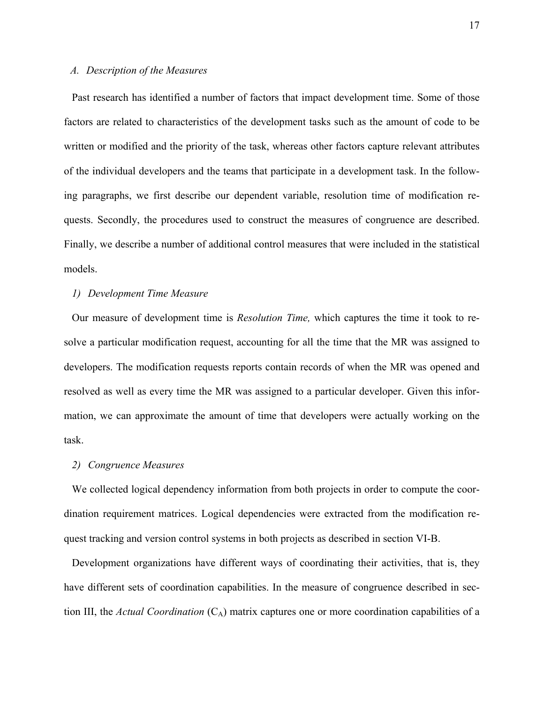## *A. Description of the Measures*

Past research has identified a number of factors that impact development time. Some of those factors are related to characteristics of the development tasks such as the amount of code to be written or modified and the priority of the task, whereas other factors capture relevant attributes of the individual developers and the teams that participate in a development task. In the following paragraphs, we first describe our dependent variable, resolution time of modification requests. Secondly, the procedures used to construct the measures of congruence are described. Finally, we describe a number of additional control measures that were included in the statistical models.

#### *1) Development Time Measure*

Our measure of development time is *Resolution Time,* which captures the time it took to resolve a particular modification request, accounting for all the time that the MR was assigned to developers. The modification requests reports contain records of when the MR was opened and resolved as well as every time the MR was assigned to a particular developer. Given this information, we can approximate the amount of time that developers were actually working on the task.

## *2) Congruence Measures*

We collected logical dependency information from both projects in order to compute the coordination requirement matrices. Logical dependencies were extracted from the modification request tracking and version control systems in both projects as described in section VI-B.

Development organizations have different ways of coordinating their activities, that is, they have different sets of coordination capabilities. In the measure of congruence described in section III, the *Actual Coordination*  $(C_A)$  matrix captures one or more coordination capabilities of a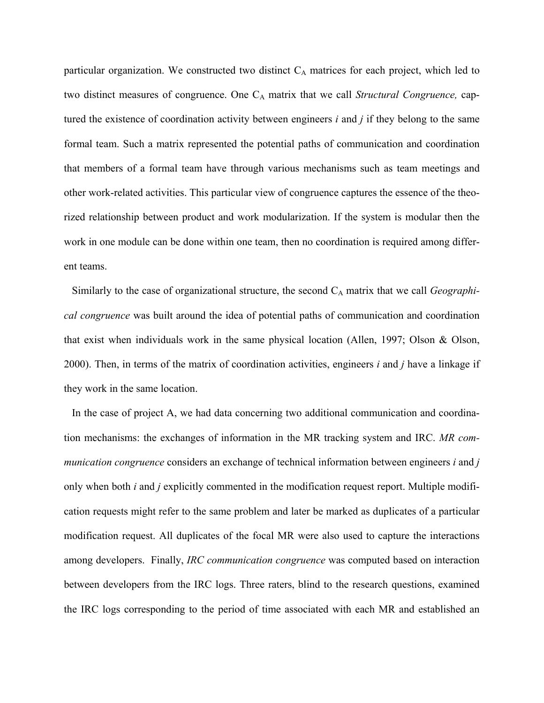particular organization. We constructed two distinct  $C_A$  matrices for each project, which led to two distinct measures of congruence. One C<sub>A</sub> matrix that we call *Structural Congruence*, captured the existence of coordination activity between engineers *i* and *j* if they belong to the same formal team. Such a matrix represented the potential paths of communication and coordination that members of a formal team have through various mechanisms such as team meetings and other work-related activities. This particular view of congruence captures the essence of the theorized relationship between product and work modularization. If the system is modular then the work in one module can be done within one team, then no coordination is required among different teams.

Similarly to the case of organizational structure, the second C<sub>A</sub> matrix that we call *Geographical congruence* was built around the idea of potential paths of communication and coordination that exist when individuals work in the same physical location (Allen, 1997; Olson & Olson, 2000). Then, in terms of the matrix of coordination activities, engineers *i* and *j* have a linkage if they work in the same location.

In the case of project A, we had data concerning two additional communication and coordination mechanisms: the exchanges of information in the MR tracking system and IRC. *MR communication congruence* considers an exchange of technical information between engineers *i* and *j* only when both *i* and *j* explicitly commented in the modification request report. Multiple modification requests might refer to the same problem and later be marked as duplicates of a particular modification request. All duplicates of the focal MR were also used to capture the interactions among developers. Finally, *IRC communication congruence* was computed based on interaction between developers from the IRC logs. Three raters, blind to the research questions, examined the IRC logs corresponding to the period of time associated with each MR and established an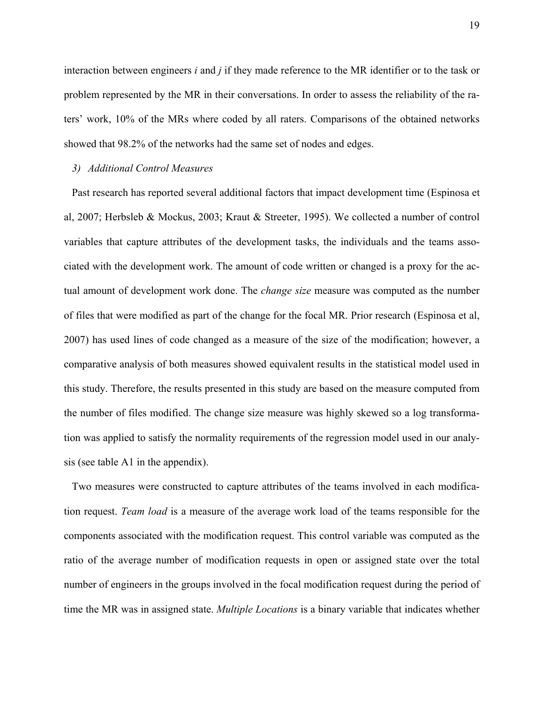interaction between engineers *i* and *j* if they made reference to the MR identifier or to the task or problem represented by the MR in their conversations. In order to assess the reliability of the raters' work, 10% of the MRs where coded by all raters. Comparisons of the obtained networks showed that 98.2% of the networks had the same set of nodes and edges.

## *3) Additional Control Measures*

Past research has reported several additional factors that impact development time (Espinosa et al, 2007; Herbsleb & Mockus, 2003; Kraut & Streeter, 1995). We collected a number of control variables that capture attributes of the development tasks, the individuals and the teams associated with the development work. The amount of code written or changed is a proxy for the actual amount of development work done. The *change size* measure was computed as the number of files that were modified as part of the change for the focal MR. Prior research (Espinosa et al, 2007) has used lines of code changed as a measure of the size of the modification; however, a comparative analysis of both measures showed equivalent results in the statistical model used in this study. Therefore, the results presented in this study are based on the measure computed from the number of files modified. The change size measure was highly skewed so a log transformation was applied to satisfy the normality requirements of the regression model used in our analysis (see table A1 in the appendix).

Two measures were constructed to capture attributes of the teams involved in each modification request. *Team load* is a measure of the average work load of the teams responsible for the components associated with the modification request. This control variable was computed as the ratio of the average number of modification requests in open or assigned state over the total number of engineers in the groups involved in the focal modification request during the period of time the MR was in assigned state. *Multiple Locations* is a binary variable that indicates whether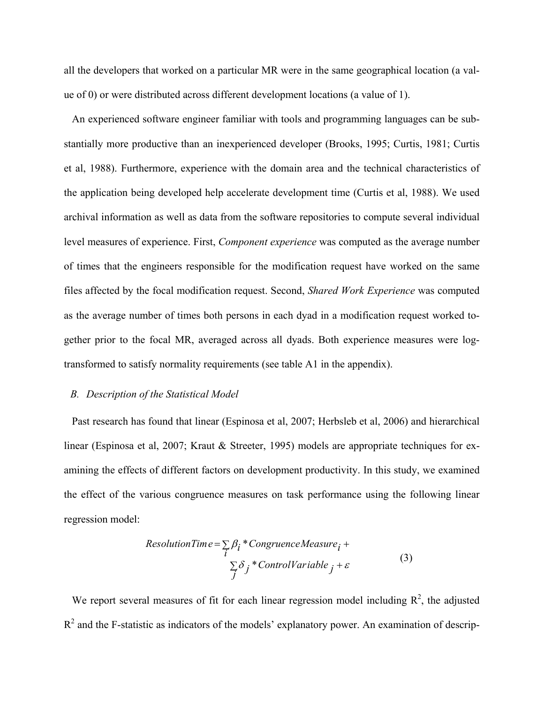all the developers that worked on a particular MR were in the same geographical location (a value of 0) or were distributed across different development locations (a value of 1).

An experienced software engineer familiar with tools and programming languages can be substantially more productive than an inexperienced developer (Brooks, 1995; Curtis, 1981; Curtis et al, 1988). Furthermore, experience with the domain area and the technical characteristics of the application being developed help accelerate development time (Curtis et al, 1988). We used archival information as well as data from the software repositories to compute several individual level measures of experience. First, *Component experience* was computed as the average number of times that the engineers responsible for the modification request have worked on the same files affected by the focal modification request. Second, *Shared Work Experience* was computed as the average number of times both persons in each dyad in a modification request worked together prior to the focal MR, averaged across all dyads. Both experience measures were logtransformed to satisfy normality requirements (see table A1 in the appendix).

#### *B. Description of the Statistical Model*

Past research has found that linear (Espinosa et al, 2007; Herbsleb et al, 2006) and hierarchical linear (Espinosa et al, 2007; Kraut & Streeter, 1995) models are appropriate techniques for examining the effects of different factors on development productivity. In this study, we examined the effect of the various congruence measures on task performance using the following linear regression model:

ResolutionTime = 
$$
\sum_{i} \beta_i * Congruence Measure_i +
$$
  
 $\sum_{j} \delta_j * ControlVariable_j + \varepsilon$  (3)

We report several measures of fit for each linear regression model including  $\mathbb{R}^2$ , the adjusted  $R<sup>2</sup>$  and the F-statistic as indicators of the models' explanatory power. An examination of descrip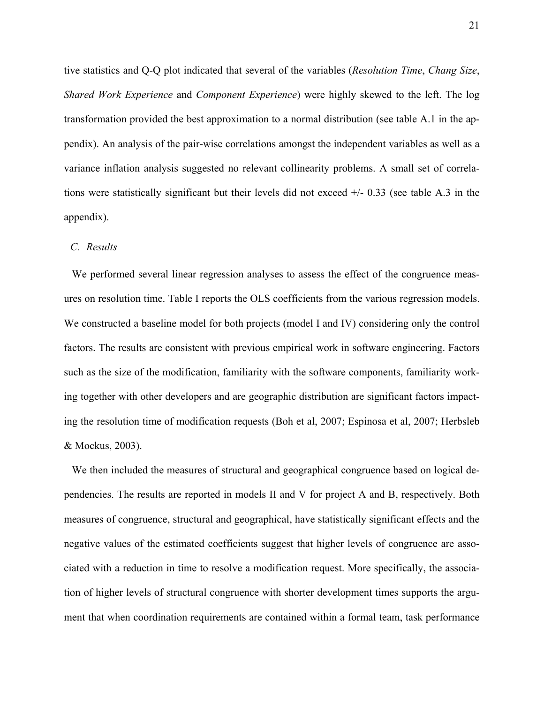tive statistics and Q-Q plot indicated that several of the variables (*Resolution Time*, *Chang Size*, *Shared Work Experience* and *Component Experience*) were highly skewed to the left. The log transformation provided the best approximation to a normal distribution (see table A.1 in the appendix). An analysis of the pair-wise correlations amongst the independent variables as well as a variance inflation analysis suggested no relevant collinearity problems. A small set of correlations were statistically significant but their levels did not exceed +/- 0.33 (see table A.3 in the appendix).

#### *C. Results*

We performed several linear regression analyses to assess the effect of the congruence measures on resolution time. Table I reports the OLS coefficients from the various regression models. We constructed a baseline model for both projects (model I and IV) considering only the control factors. The results are consistent with previous empirical work in software engineering. Factors such as the size of the modification, familiarity with the software components, familiarity working together with other developers and are geographic distribution are significant factors impacting the resolution time of modification requests (Boh et al, 2007; Espinosa et al, 2007; Herbsleb & Mockus, 2003).

We then included the measures of structural and geographical congruence based on logical dependencies. The results are reported in models II and V for project A and B, respectively. Both measures of congruence, structural and geographical, have statistically significant effects and the negative values of the estimated coefficients suggest that higher levels of congruence are associated with a reduction in time to resolve a modification request. More specifically, the association of higher levels of structural congruence with shorter development times supports the argument that when coordination requirements are contained within a formal team, task performance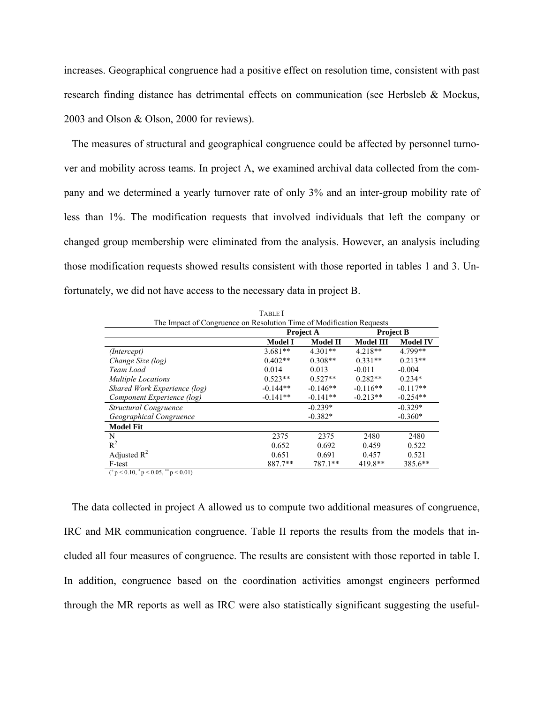increases. Geographical congruence had a positive effect on resolution time, consistent with past research finding distance has detrimental effects on communication (see Herbsleb & Mockus, 2003 and Olson & Olson, 2000 for reviews).

The measures of structural and geographical congruence could be affected by personnel turnover and mobility across teams. In project A, we examined archival data collected from the company and we determined a yearly turnover rate of only 3% and an inter-group mobility rate of less than 1%. The modification requests that involved individuals that left the company or changed group membership were eliminated from the analysis. However, an analysis including those modification requests showed results consistent with those reported in tables 1 and 3. Unfortunately, we did not have access to the necessary data in project B.

|                                                                      | <b>TABLE I</b> |                  |                  |                  |
|----------------------------------------------------------------------|----------------|------------------|------------------|------------------|
| The Impact of Congruence on Resolution Time of Modification Requests |                |                  |                  |                  |
|                                                                      |                | <b>Project A</b> |                  | <b>Project B</b> |
|                                                                      | <b>Model I</b> | <b>Model II</b>  | <b>Model III</b> | <b>Model IV</b>  |
| (Intercept)                                                          | $3.681**$      | $4.301**$        | $4.218**$        | 4.799**          |
| Change Size (log)                                                    | $0.402**$      | $0.308**$        | $0.331**$        | $0.213**$        |
| Team Load                                                            | 0.014          | 0.013            | $-0.011$         | $-0.004$         |
| <b>Multiple Locations</b>                                            | $0.523**$      | $0.527**$        | $0.282**$        | $0.234*$         |
| Shared Work Experience (log)                                         | $-0.144**$     | $-0.146**$       | $-0.116**$       | $-0.117**$       |
| Component Experience (log)                                           | $-0.141**$     | $-0.141**$       | $-0.213**$       | $-0.254**$       |
| Structural Congruence                                                |                | $-0.239*$        |                  | $-0.329*$        |
| Geographical Congruence                                              |                | $-0.382*$        |                  | $-0.360*$        |
| <b>Model Fit</b>                                                     |                |                  |                  |                  |
| N                                                                    | 2375           | 2375             | 2480             | 2480             |
| $R^2$                                                                | 0.652          | 0.692            | 0.459            | 0.522            |
| Adjusted $R^2$                                                       | 0.651          | 0.691            | 0.457            | 0.521            |
| F-test                                                               | 887.7**        | 787.1**          | 419.8**          | 385.6**          |
| $(^{+}p<0.10, ^{*}p<0.05, ^{**}p<0.01)$                              |                |                  |                  |                  |

The data collected in project A allowed us to compute two additional measures of congruence, IRC and MR communication congruence. Table II reports the results from the models that included all four measures of congruence. The results are consistent with those reported in table I. In addition, congruence based on the coordination activities amongst engineers performed through the MR reports as well as IRC were also statistically significant suggesting the useful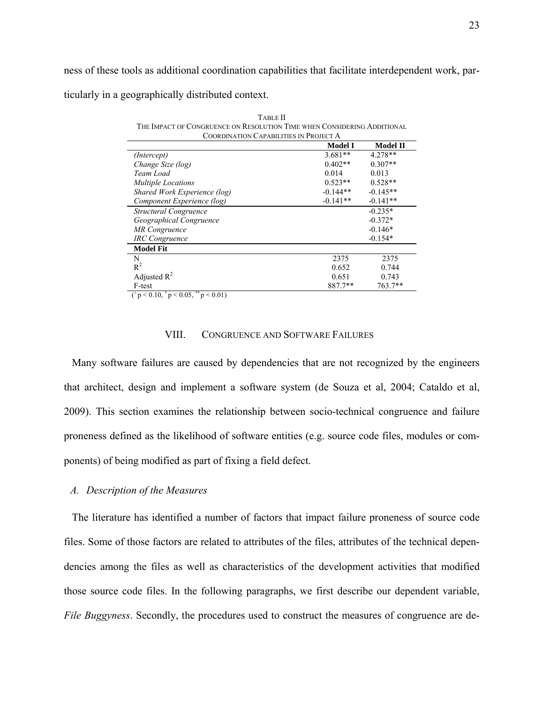ness of these tools as additional coordination capabilities that facilitate interdependent work, particularly in a geographically distributed context.

| <b>COORDINATION CAPABILITIES IN PROJECT A</b> |                |                 |  |  |  |
|-----------------------------------------------|----------------|-----------------|--|--|--|
|                                               | <b>Model I</b> | <b>Model II</b> |  |  |  |
| (Intercept)                                   | $3.681**$      | 4.278**         |  |  |  |
| Change Size (log)                             | $0.402**$      | $0.307**$       |  |  |  |
| Team Load                                     | 0.014          | 0.013           |  |  |  |
| <b>Multiple Locations</b>                     | $0.523**$      | $0.528**$       |  |  |  |
| Shared Work Experience (log)                  | $-0.144**$     | $-0.145**$      |  |  |  |
| Component Experience (log)                    | $-0.141**$     | $-0.141**$      |  |  |  |
| Structural Congruence                         |                | $-0.235*$       |  |  |  |
| Geographical Congruence                       |                | $-0.372*$       |  |  |  |
| <b>MR</b> Congruence                          |                | $-0.146*$       |  |  |  |
| <b>IRC</b> Congruence                         |                | $-0.154*$       |  |  |  |
| <b>Model Fit</b>                              |                |                 |  |  |  |
| N                                             | 2375           | 2375            |  |  |  |
| $R^2$                                         | 0.652          | 0.744           |  |  |  |
| Adjusted $R^2$                                | 0.651          | 0.743           |  |  |  |
| F-test<br>$\ast$<br>**                        | 887.7**        | 763.7**         |  |  |  |

TABLE II THE IMPACT OF CONGRUENCE ON RESOLUTION TIME WHEN CONSIDERING ADDITIONAL

 $({}^{\text{+}} p < 0.10, {}^{\text{+}} p < 0.05, {}^{\text{+}} * p < 0.01)$ 

## VIII. CONGRUENCE AND SOFTWARE FAILURES

Many software failures are caused by dependencies that are not recognized by the engineers that architect, design and implement a software system (de Souza et al, 2004; Cataldo et al, 2009). This section examines the relationship between socio-technical congruence and failure proneness defined as the likelihood of software entities (e.g. source code files, modules or components) of being modified as part of fixing a field defect.

#### *A. Description of the Measures*

The literature has identified a number of factors that impact failure proneness of source code files. Some of those factors are related to attributes of the files, attributes of the technical dependencies among the files as well as characteristics of the development activities that modified those source code files. In the following paragraphs, we first describe our dependent variable, *File Buggyness*. Secondly, the procedures used to construct the measures of congruence are de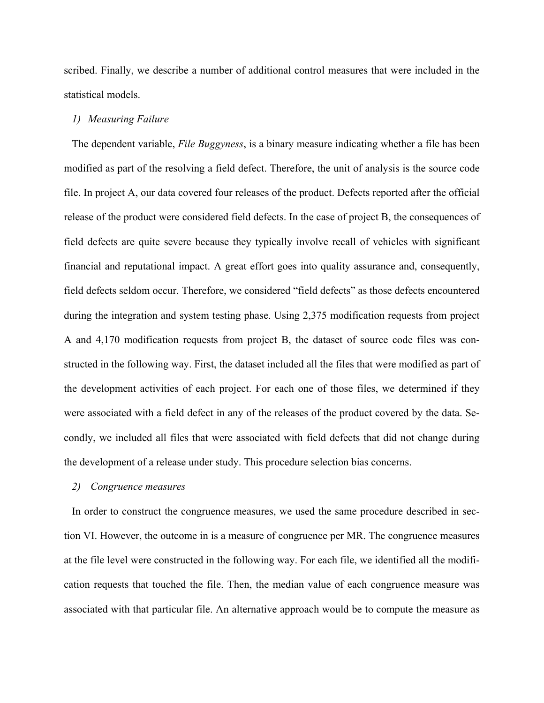scribed. Finally, we describe a number of additional control measures that were included in the statistical models.

#### *1) Measuring Failure*

The dependent variable, *File Buggyness*, is a binary measure indicating whether a file has been modified as part of the resolving a field defect. Therefore, the unit of analysis is the source code file. In project A, our data covered four releases of the product. Defects reported after the official release of the product were considered field defects. In the case of project B, the consequences of field defects are quite severe because they typically involve recall of vehicles with significant financial and reputational impact. A great effort goes into quality assurance and, consequently, field defects seldom occur. Therefore, we considered "field defects" as those defects encountered during the integration and system testing phase. Using 2,375 modification requests from project A and 4,170 modification requests from project B, the dataset of source code files was constructed in the following way. First, the dataset included all the files that were modified as part of the development activities of each project. For each one of those files, we determined if they were associated with a field defect in any of the releases of the product covered by the data. Secondly, we included all files that were associated with field defects that did not change during the development of a release under study. This procedure selection bias concerns.

#### *2) Congruence measures*

In order to construct the congruence measures, we used the same procedure described in section VI. However, the outcome in is a measure of congruence per MR. The congruence measures at the file level were constructed in the following way. For each file, we identified all the modification requests that touched the file. Then, the median value of each congruence measure was associated with that particular file. An alternative approach would be to compute the measure as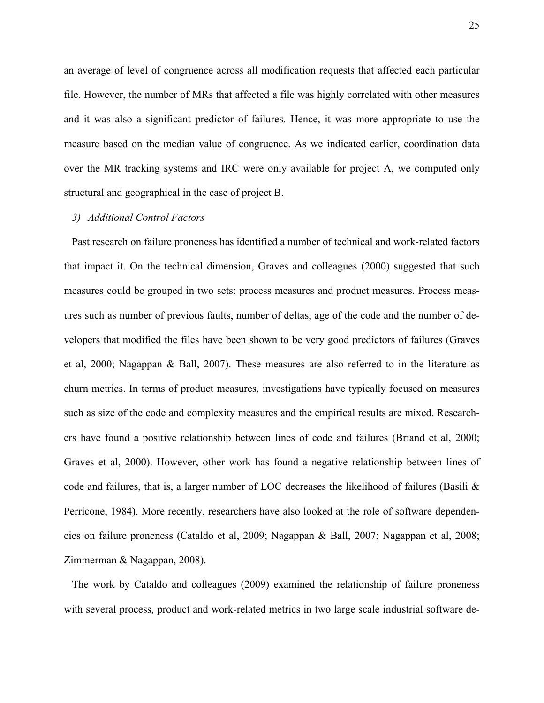an average of level of congruence across all modification requests that affected each particular file. However, the number of MRs that affected a file was highly correlated with other measures and it was also a significant predictor of failures. Hence, it was more appropriate to use the measure based on the median value of congruence. As we indicated earlier, coordination data over the MR tracking systems and IRC were only available for project A, we computed only structural and geographical in the case of project B.

#### *3) Additional Control Factors*

Past research on failure proneness has identified a number of technical and work-related factors that impact it. On the technical dimension, Graves and colleagues (2000) suggested that such measures could be grouped in two sets: process measures and product measures. Process measures such as number of previous faults, number of deltas, age of the code and the number of developers that modified the files have been shown to be very good predictors of failures (Graves et al, 2000; Nagappan & Ball, 2007). These measures are also referred to in the literature as churn metrics. In terms of product measures, investigations have typically focused on measures such as size of the code and complexity measures and the empirical results are mixed. Researchers have found a positive relationship between lines of code and failures (Briand et al, 2000; Graves et al, 2000). However, other work has found a negative relationship between lines of code and failures, that is, a larger number of LOC decreases the likelihood of failures (Basili  $\&$ Perricone, 1984). More recently, researchers have also looked at the role of software dependencies on failure proneness (Cataldo et al, 2009; Nagappan & Ball, 2007; Nagappan et al, 2008; Zimmerman & Nagappan, 2008).

The work by Cataldo and colleagues (2009) examined the relationship of failure proneness with several process, product and work-related metrics in two large scale industrial software de-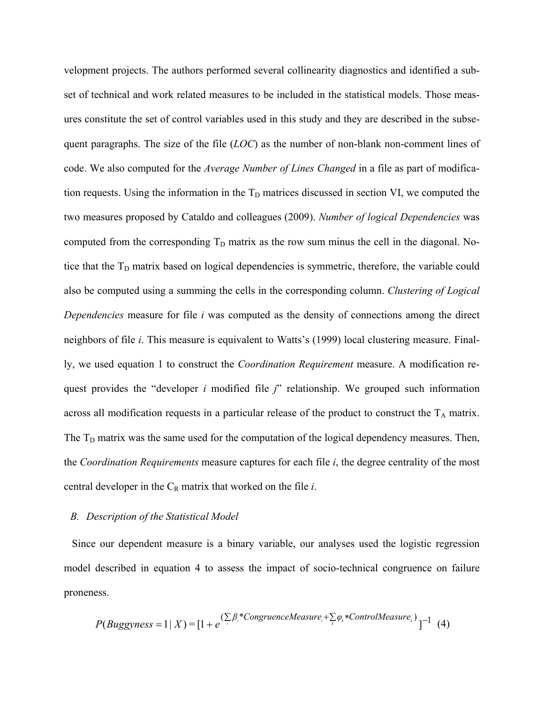velopment projects. The authors performed several collinearity diagnostics and identified a subset of technical and work related measures to be included in the statistical models. Those measures constitute the set of control variables used in this study and they are described in the subsequent paragraphs. The size of the file (*LOC*) as the number of non-blank non-comment lines of code. We also computed for the *Average Number of Lines Changed* in a file as part of modification requests. Using the information in the  $T_D$  matrices discussed in section VI, we computed the two measures proposed by Cataldo and colleagues (2009). *Number of logical Dependencies* was computed from the corresponding  $T_D$  matrix as the row sum minus the cell in the diagonal. Notice that the T<sub>D</sub> matrix based on logical dependencies is symmetric, therefore, the variable could also be computed using a summing the cells in the corresponding column. *Clustering of Logical Dependencies* measure for file *i* was computed as the density of connections among the direct neighbors of file *i*. This measure is equivalent to Watts's (1999) local clustering measure. Finally, we used equation 1 to construct the *Coordination Requirement* measure. A modification request provides the "developer *i* modified file *j*" relationship. We grouped such information across all modification requests in a particular release of the product to construct the  $T_A$  matrix. The  $T<sub>D</sub>$  matrix was the same used for the computation of the logical dependency measures. Then, the *Coordination Requirements* measure captures for each file *i*, the degree centrality of the most central developer in the  $C_R$  matrix that worked on the file  $i$ .

#### *B. Description of the Statistical Model*

Since our dependent measure is a binary variable, our analyses used the logistic regression model described in equation 4 to assess the impact of socio-technical congruence on failure proneness.

$$
P(Buggyness = 1 | X) = [1 + e^{(\sum_{i} \beta_{i} * CongruenceMeasure_{i} + \sum_{k} \varphi_{k} * ControlMeasure_{k})}]^{-1}
$$
 (4)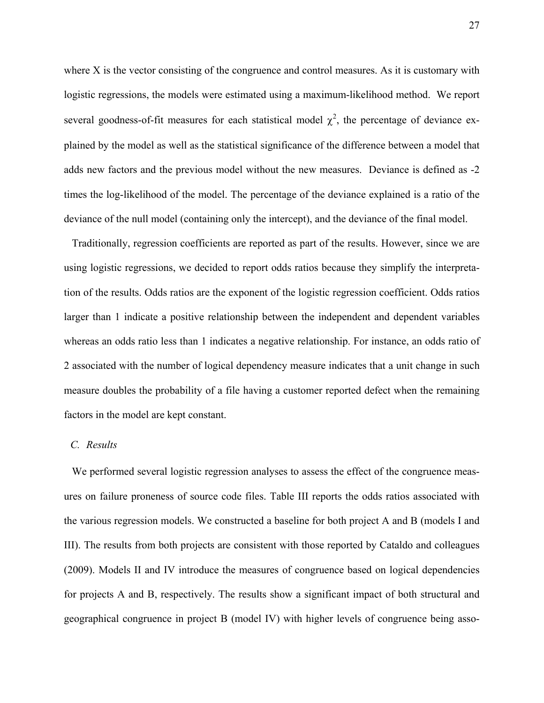where X is the vector consisting of the congruence and control measures. As it is customary with logistic regressions, the models were estimated using a maximum-likelihood method. We report several goodness-of-fit measures for each statistical model  $\chi^2$ , the percentage of deviance explained by the model as well as the statistical significance of the difference between a model that adds new factors and the previous model without the new measures. Deviance is defined as -2 times the log-likelihood of the model. The percentage of the deviance explained is a ratio of the deviance of the null model (containing only the intercept), and the deviance of the final model.

Traditionally, regression coefficients are reported as part of the results. However, since we are using logistic regressions, we decided to report odds ratios because they simplify the interpretation of the results. Odds ratios are the exponent of the logistic regression coefficient. Odds ratios larger than 1 indicate a positive relationship between the independent and dependent variables whereas an odds ratio less than 1 indicates a negative relationship. For instance, an odds ratio of 2 associated with the number of logical dependency measure indicates that a unit change in such measure doubles the probability of a file having a customer reported defect when the remaining factors in the model are kept constant.

#### *C. Results*

We performed several logistic regression analyses to assess the effect of the congruence measures on failure proneness of source code files. Table III reports the odds ratios associated with the various regression models. We constructed a baseline for both project A and B (models I and III). The results from both projects are consistent with those reported by Cataldo and colleagues (2009). Models II and IV introduce the measures of congruence based on logical dependencies for projects A and B, respectively. The results show a significant impact of both structural and geographical congruence in project B (model IV) with higher levels of congruence being asso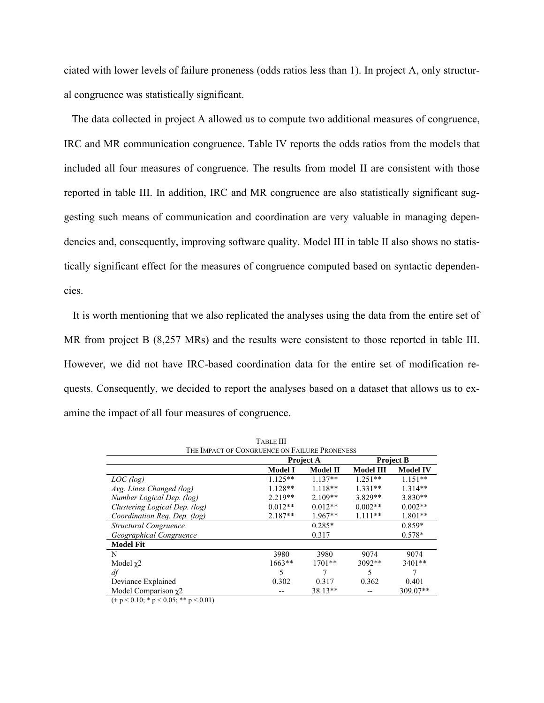ciated with lower levels of failure proneness (odds ratios less than 1). In project A, only structural congruence was statistically significant.

The data collected in project A allowed us to compute two additional measures of congruence, IRC and MR communication congruence. Table IV reports the odds ratios from the models that included all four measures of congruence. The results from model II are consistent with those reported in table III. In addition, IRC and MR congruence are also statistically significant suggesting such means of communication and coordination are very valuable in managing dependencies and, consequently, improving software quality. Model III in table II also shows no statistically significant effect for the measures of congruence computed based on syntactic dependencies.

It is worth mentioning that we also replicated the analyses using the data from the entire set of MR from project B (8,257 MRs) and the results were consistent to those reported in table III. However, we did not have IRC-based coordination data for the entire set of modification requests. Consequently, we decided to report the analyses based on a dataset that allows us to examine the impact of all four measures of congruence.

 $T_{\text{max}} = 1$ 

|                               | LABLE III                                     |                  |                  |                  |  |  |
|-------------------------------|-----------------------------------------------|------------------|------------------|------------------|--|--|
|                               | THE IMPACT OF CONGRUENCE ON FAILURE PRONENESS |                  |                  |                  |  |  |
|                               |                                               | <b>Project A</b> |                  | <b>Project B</b> |  |  |
|                               | Model I                                       | <b>Model II</b>  | <b>Model III</b> | <b>Model IV</b>  |  |  |
| LOC(log)                      | $1.125**$                                     | $1.137**$        | $1.251**$        | $1.151**$        |  |  |
| Avg. Lines Changed (log)      | $1.128**$                                     | $1.118**$        | $1.331**$        | $1.314**$        |  |  |
| Number Logical Dep. (log)     | $2.219**$                                     | $2.109**$        | 3.829**          | $3.830**$        |  |  |
| Clustering Logical Dep. (log) | $0.012**$                                     | $0.012**$        | $0.002**$        | $0.002**$        |  |  |
| Coordination Req. Dep. (log)  | $2.187**$                                     | $1.967**$        | $1.111**$        | $1.801**$        |  |  |
| Structural Congruence         |                                               | $0.285*$         |                  | $0.859*$         |  |  |
| Geographical Congruence       |                                               | 0.317            |                  | $0.578*$         |  |  |
| <b>Model Fit</b>              |                                               |                  |                  |                  |  |  |
| N                             | 3980                                          | 3980             | 9074             | 9074             |  |  |
| Model $\chi$ 2                | 1663**                                        | $1701**$         | $3092**$         | 3401**           |  |  |
| df                            | 5                                             |                  | 5                | 7                |  |  |
| Deviance Explained            | 0.302                                         | 0.317            | 0.362            | 0.401            |  |  |
| Model Comparison $\chi$ 2     |                                               | 38.13**          |                  | 309.07**         |  |  |

 $(+ p < 0.10; * p < 0.05; ** p < 0.01)$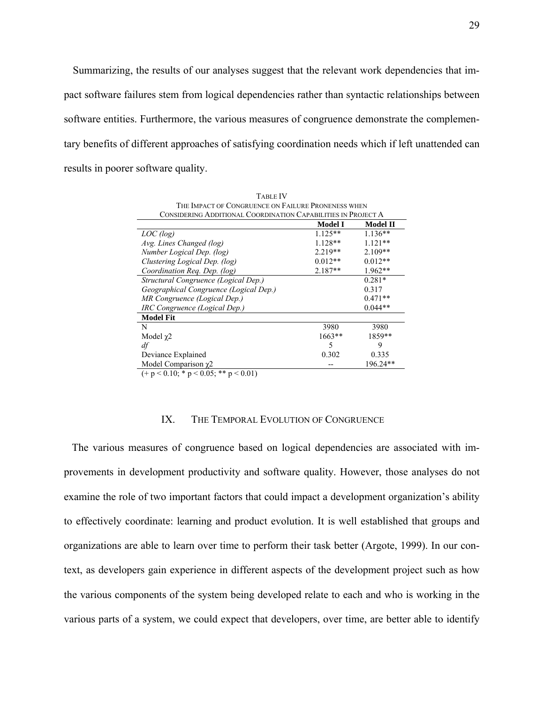Summarizing, the results of our analyses suggest that the relevant work dependencies that impact software failures stem from logical dependencies rather than syntactic relationships between software entities. Furthermore, the various measures of congruence demonstrate the complementary benefits of different approaches of satisfying coordination needs which if left unattended can results in poorer software quality.

| <b>TABLE IV</b>                                               |                |                 |  |  |  |  |  |
|---------------------------------------------------------------|----------------|-----------------|--|--|--|--|--|
| THE IMPACT OF CONGRUENCE ON FAILURE PRONENESS WHEN            |                |                 |  |  |  |  |  |
| CONSIDERING ADDITIONAL COORDINATION CAPABILITIES IN PROJECT A |                |                 |  |  |  |  |  |
|                                                               | <b>Model I</b> | <b>Model II</b> |  |  |  |  |  |
| LOC(log)                                                      | $1.125**$      | $1.136**$       |  |  |  |  |  |
| Avg. Lines Changed (log)                                      | $1.128**$      | $1.121**$       |  |  |  |  |  |
| Number Logical Dep. (log)                                     | $2.219**$      | $2.109**$       |  |  |  |  |  |
| Clustering Logical Dep. (log)                                 | $0.012**$      | $0.012**$       |  |  |  |  |  |
| Coordination Req. Dep. (log)                                  | $2.187**$      | $1.962**$       |  |  |  |  |  |
| Structural Congruence (Logical Dep.)                          |                | $0.281*$        |  |  |  |  |  |
| Geographical Congruence (Logical Dep.)                        |                | 0.317           |  |  |  |  |  |
| MR Congruence (Logical Dep.)                                  |                | $0.471**$       |  |  |  |  |  |
| IRC Congruence (Logical Dep.)                                 |                | $0.044**$       |  |  |  |  |  |
| <b>Model Fit</b>                                              |                |                 |  |  |  |  |  |
| N                                                             | 3980           | 3980            |  |  |  |  |  |
| Model $\chi$ 2                                                | $1663**$       | 1859**          |  |  |  |  |  |
| df                                                            | 5              | 9               |  |  |  |  |  |
| Deviance Explained                                            | 0.302          | 0.335           |  |  |  |  |  |
| Model Comparison $\chi$ 2                                     |                | 196.24**        |  |  |  |  |  |
| $(+ p < 0.10; * p < 0.05; ** p < 0.01)$                       |                |                 |  |  |  |  |  |

#### IX. THE TEMPORAL EVOLUTION OF CONGRUENCE

The various measures of congruence based on logical dependencies are associated with improvements in development productivity and software quality. However, those analyses do not examine the role of two important factors that could impact a development organization's ability to effectively coordinate: learning and product evolution. It is well established that groups and organizations are able to learn over time to perform their task better (Argote, 1999). In our context, as developers gain experience in different aspects of the development project such as how the various components of the system being developed relate to each and who is working in the various parts of a system, we could expect that developers, over time, are better able to identify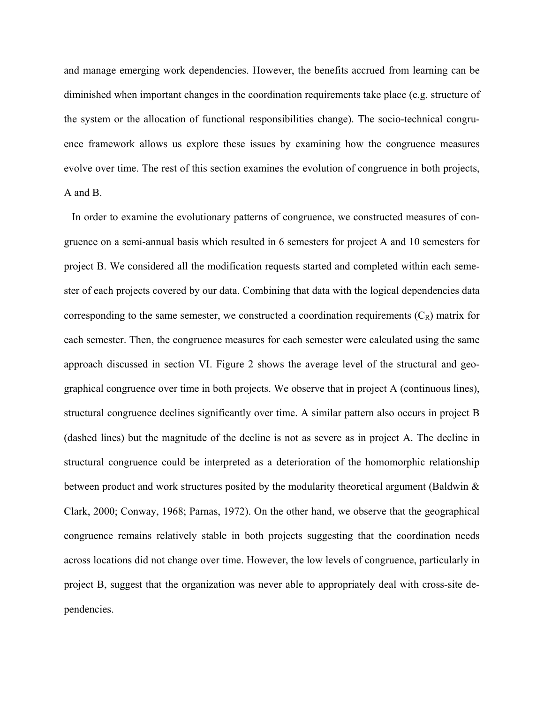and manage emerging work dependencies. However, the benefits accrued from learning can be diminished when important changes in the coordination requirements take place (e.g. structure of the system or the allocation of functional responsibilities change). The socio-technical congruence framework allows us explore these issues by examining how the congruence measures evolve over time. The rest of this section examines the evolution of congruence in both projects, A and B.

In order to examine the evolutionary patterns of congruence, we constructed measures of congruence on a semi-annual basis which resulted in 6 semesters for project A and 10 semesters for project B. We considered all the modification requests started and completed within each semester of each projects covered by our data. Combining that data with the logical dependencies data corresponding to the same semester, we constructed a coordination requirements  $(C_R)$  matrix for each semester. Then, the congruence measures for each semester were calculated using the same approach discussed in section VI. Figure 2 shows the average level of the structural and geographical congruence over time in both projects. We observe that in project A (continuous lines), structural congruence declines significantly over time. A similar pattern also occurs in project B (dashed lines) but the magnitude of the decline is not as severe as in project A. The decline in structural congruence could be interpreted as a deterioration of the homomorphic relationship between product and work structures posited by the modularity theoretical argument (Baldwin & Clark, 2000; Conway, 1968; Parnas, 1972). On the other hand, we observe that the geographical congruence remains relatively stable in both projects suggesting that the coordination needs across locations did not change over time. However, the low levels of congruence, particularly in project B, suggest that the organization was never able to appropriately deal with cross-site dependencies.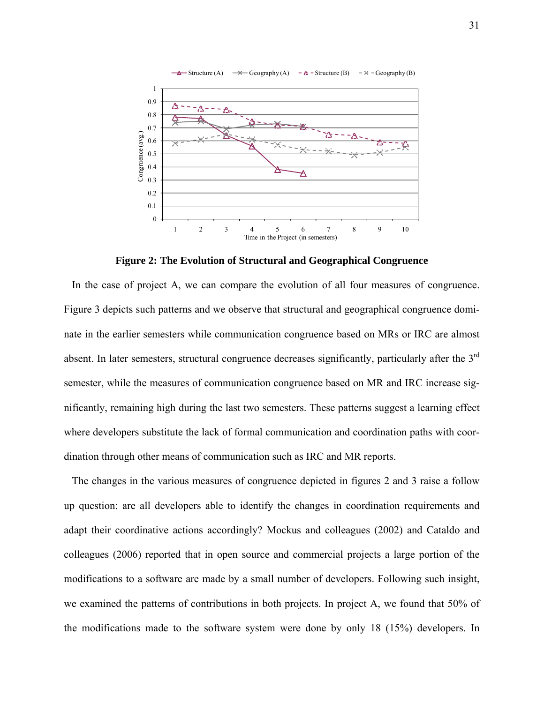

**Figure 2: The Evolution of Structural and Geographical Congruence** 

In the case of project A, we can compare the evolution of all four measures of congruence. Figure 3 depicts such patterns and we observe that structural and geographical congruence dominate in the earlier semesters while communication congruence based on MRs or IRC are almost absent. In later semesters, structural congruence decreases significantly, particularly after the 3<sup>rd</sup> semester, while the measures of communication congruence based on MR and IRC increase significantly, remaining high during the last two semesters. These patterns suggest a learning effect where developers substitute the lack of formal communication and coordination paths with coordination through other means of communication such as IRC and MR reports.

The changes in the various measures of congruence depicted in figures 2 and 3 raise a follow up question: are all developers able to identify the changes in coordination requirements and adapt their coordinative actions accordingly? Mockus and colleagues (2002) and Cataldo and colleagues (2006) reported that in open source and commercial projects a large portion of the modifications to a software are made by a small number of developers. Following such insight, we examined the patterns of contributions in both projects. In project A, we found that 50% of the modifications made to the software system were done by only 18 (15%) developers. In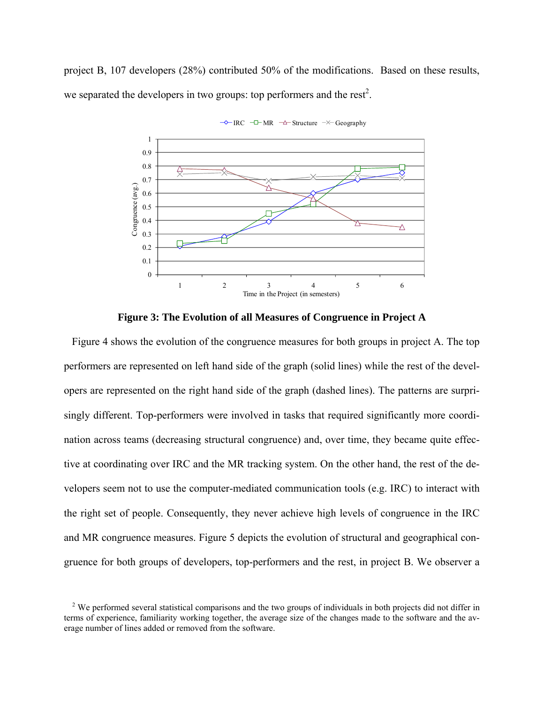project B, 107 developers (28%) contributed 50% of the modifications. Based on these results, we separated the developers in two groups: top performers and the rest<sup>2</sup>.





**Figure 3: The Evolution of all Measures of Congruence in Project A** 

Figure 4 shows the evolution of the congruence measures for both groups in project A. The top performers are represented on left hand side of the graph (solid lines) while the rest of the developers are represented on the right hand side of the graph (dashed lines). The patterns are surprisingly different. Top-performers were involved in tasks that required significantly more coordination across teams (decreasing structural congruence) and, over time, they became quite effective at coordinating over IRC and the MR tracking system. On the other hand, the rest of the developers seem not to use the computer-mediated communication tools (e.g. IRC) to interact with the right set of people. Consequently, they never achieve high levels of congruence in the IRC and MR congruence measures. Figure 5 depicts the evolution of structural and geographical congruence for both groups of developers, top-performers and the rest, in project B. We observer a

<sup>&</sup>lt;sup>2</sup> We performed several statistical comparisons and the two groups of individuals in both projects did not differ in terms of experience, familiarity working together, the average size of the changes made to the software and the average number of lines added or removed from the software.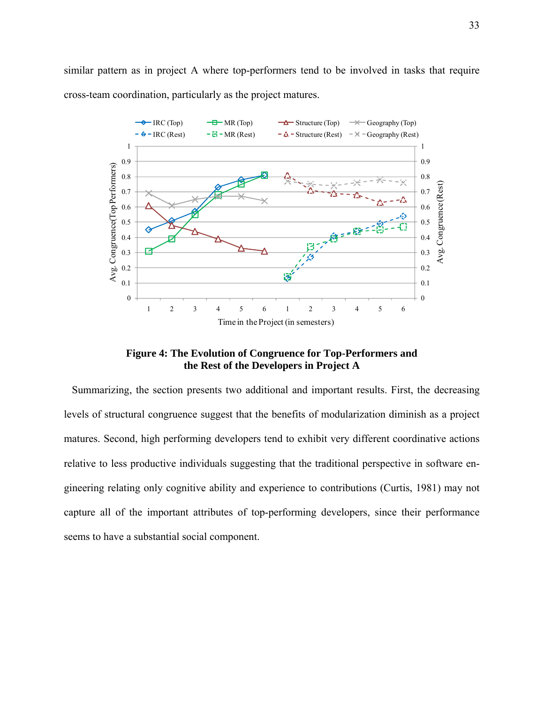similar pattern as in project A where top-performers tend to be involved in tasks that require cross-team coordination, particularly as the project matures.



**Figure 4: The Evolution of Congruence for Top-Performers and the Rest of the Developers in Project A** 

Summarizing, the section presents two additional and important results. First, the decreasing levels of structural congruence suggest that the benefits of modularization diminish as a project matures. Second, high performing developers tend to exhibit very different coordinative actions relative to less productive individuals suggesting that the traditional perspective in software engineering relating only cognitive ability and experience to contributions (Curtis, 1981) may not capture all of the important attributes of top-performing developers, since their performance seems to have a substantial social component.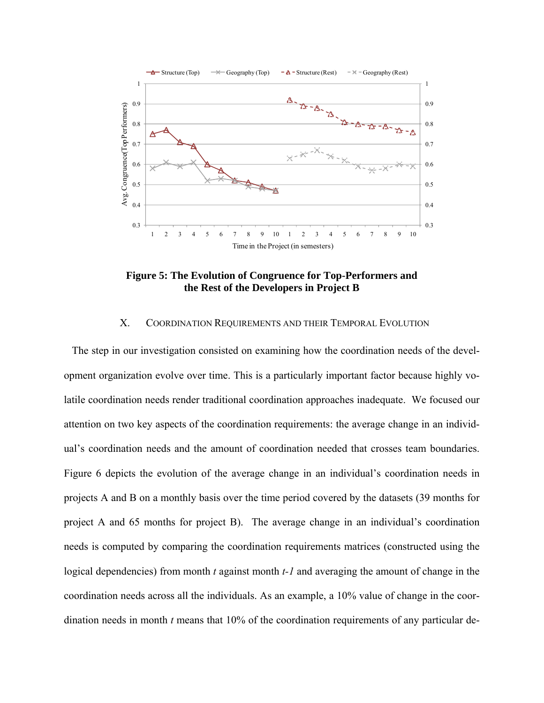

**Figure 5: The Evolution of Congruence for Top-Performers and the Rest of the Developers in Project B** 

## X. COORDINATION REQUIREMENTS AND THEIR TEMPORAL EVOLUTION

The step in our investigation consisted on examining how the coordination needs of the development organization evolve over time. This is a particularly important factor because highly volatile coordination needs render traditional coordination approaches inadequate. We focused our attention on two key aspects of the coordination requirements: the average change in an individual's coordination needs and the amount of coordination needed that crosses team boundaries. Figure 6 depicts the evolution of the average change in an individual's coordination needs in projects A and B on a monthly basis over the time period covered by the datasets (39 months for project A and 65 months for project B). The average change in an individual's coordination needs is computed by comparing the coordination requirements matrices (constructed using the logical dependencies) from month *t* against month *t-1* and averaging the amount of change in the coordination needs across all the individuals. As an example, a 10% value of change in the coordination needs in month *t* means that 10% of the coordination requirements of any particular de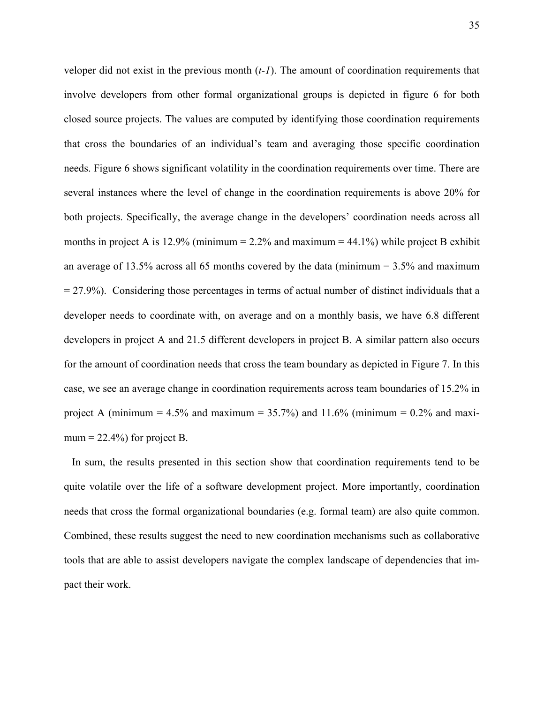veloper did not exist in the previous month (*t-1*). The amount of coordination requirements that involve developers from other formal organizational groups is depicted in figure 6 for both closed source projects. The values are computed by identifying those coordination requirements that cross the boundaries of an individual's team and averaging those specific coordination needs. Figure 6 shows significant volatility in the coordination requirements over time. There are several instances where the level of change in the coordination requirements is above 20% for both projects. Specifically, the average change in the developers' coordination needs across all months in project A is 12.9% (minimum =  $2.2\%$  and maximum = 44.1%) while project B exhibit an average of 13.5% across all 65 months covered by the data (minimum  $=$  3.5% and maximum  $= 27.9\%$ ). Considering those percentages in terms of actual number of distinct individuals that a developer needs to coordinate with, on average and on a monthly basis, we have 6.8 different developers in project A and 21.5 different developers in project B. A similar pattern also occurs for the amount of coordination needs that cross the team boundary as depicted in Figure 7. In this case, we see an average change in coordination requirements across team boundaries of 15.2% in project A (minimum =  $4.5\%$  and maximum =  $35.7\%$ ) and  $11.6\%$  (minimum =  $0.2\%$  and maximum  $= 22.4\%$ ) for project B.

In sum, the results presented in this section show that coordination requirements tend to be quite volatile over the life of a software development project. More importantly, coordination needs that cross the formal organizational boundaries (e.g. formal team) are also quite common. Combined, these results suggest the need to new coordination mechanisms such as collaborative tools that are able to assist developers navigate the complex landscape of dependencies that impact their work.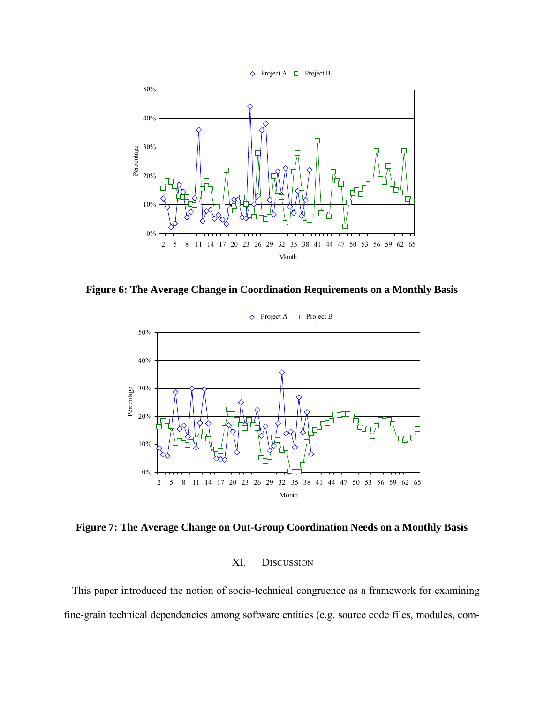

**Figure 6: The Average Change in Coordination Requirements on a Monthly Basis**



**Figure 7: The Average Change on Out-Group Coordination Needs on a Monthly Basis** 

## XI. DISCUSSION

This paper introduced the notion of socio-technical congruence as a framework for examining fine-grain technical dependencies among software entities (e.g. source code files, modules, com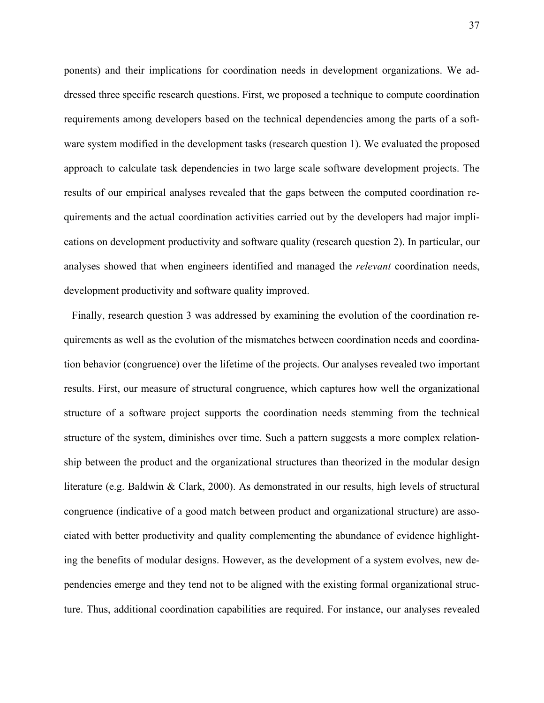ponents) and their implications for coordination needs in development organizations. We addressed three specific research questions. First, we proposed a technique to compute coordination requirements among developers based on the technical dependencies among the parts of a software system modified in the development tasks (research question 1). We evaluated the proposed approach to calculate task dependencies in two large scale software development projects. The results of our empirical analyses revealed that the gaps between the computed coordination requirements and the actual coordination activities carried out by the developers had major implications on development productivity and software quality (research question 2). In particular, our analyses showed that when engineers identified and managed the *relevant* coordination needs, development productivity and software quality improved.

Finally, research question 3 was addressed by examining the evolution of the coordination requirements as well as the evolution of the mismatches between coordination needs and coordination behavior (congruence) over the lifetime of the projects. Our analyses revealed two important results. First, our measure of structural congruence, which captures how well the organizational structure of a software project supports the coordination needs stemming from the technical structure of the system, diminishes over time. Such a pattern suggests a more complex relationship between the product and the organizational structures than theorized in the modular design literature (e.g. Baldwin & Clark, 2000). As demonstrated in our results, high levels of structural congruence (indicative of a good match between product and organizational structure) are associated with better productivity and quality complementing the abundance of evidence highlighting the benefits of modular designs. However, as the development of a system evolves, new dependencies emerge and they tend not to be aligned with the existing formal organizational structure. Thus, additional coordination capabilities are required. For instance, our analyses revealed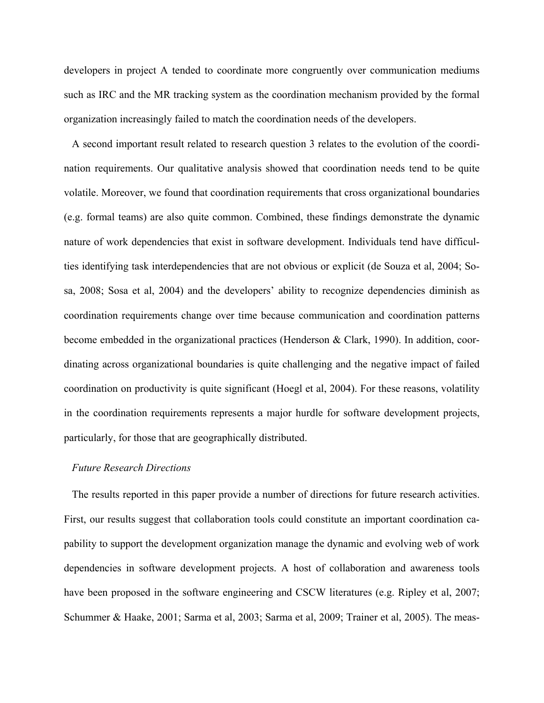developers in project A tended to coordinate more congruently over communication mediums such as IRC and the MR tracking system as the coordination mechanism provided by the formal organization increasingly failed to match the coordination needs of the developers.

A second important result related to research question 3 relates to the evolution of the coordination requirements. Our qualitative analysis showed that coordination needs tend to be quite volatile. Moreover, we found that coordination requirements that cross organizational boundaries (e.g. formal teams) are also quite common. Combined, these findings demonstrate the dynamic nature of work dependencies that exist in software development. Individuals tend have difficulties identifying task interdependencies that are not obvious or explicit (de Souza et al, 2004; Sosa, 2008; Sosa et al, 2004) and the developers' ability to recognize dependencies diminish as coordination requirements change over time because communication and coordination patterns become embedded in the organizational practices (Henderson & Clark, 1990). In addition, coordinating across organizational boundaries is quite challenging and the negative impact of failed coordination on productivity is quite significant (Hoegl et al, 2004). For these reasons, volatility in the coordination requirements represents a major hurdle for software development projects, particularly, for those that are geographically distributed.

#### *Future Research Directions*

The results reported in this paper provide a number of directions for future research activities. First, our results suggest that collaboration tools could constitute an important coordination capability to support the development organization manage the dynamic and evolving web of work dependencies in software development projects. A host of collaboration and awareness tools have been proposed in the software engineering and CSCW literatures (e.g. Ripley et al, 2007; Schummer & Haake, 2001; Sarma et al, 2003; Sarma et al, 2009; Trainer et al, 2005). The meas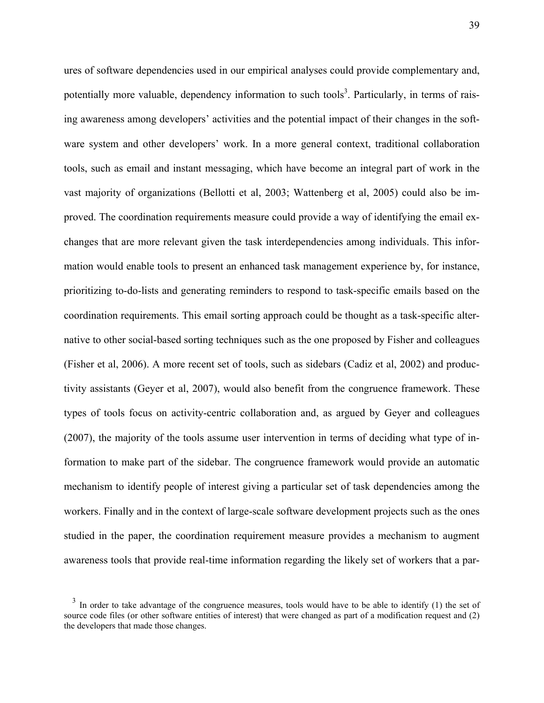ures of software dependencies used in our empirical analyses could provide complementary and, potentially more valuable, dependency information to such tools<sup>3</sup>. Particularly, in terms of raising awareness among developers' activities and the potential impact of their changes in the software system and other developers' work. In a more general context, traditional collaboration tools, such as email and instant messaging, which have become an integral part of work in the vast majority of organizations (Bellotti et al, 2003; Wattenberg et al, 2005) could also be improved. The coordination requirements measure could provide a way of identifying the email exchanges that are more relevant given the task interdependencies among individuals. This information would enable tools to present an enhanced task management experience by, for instance, prioritizing to-do-lists and generating reminders to respond to task-specific emails based on the coordination requirements. This email sorting approach could be thought as a task-specific alternative to other social-based sorting techniques such as the one proposed by Fisher and colleagues (Fisher et al, 2006). A more recent set of tools, such as sidebars (Cadiz et al, 2002) and productivity assistants (Geyer et al, 2007), would also benefit from the congruence framework. These types of tools focus on activity-centric collaboration and, as argued by Geyer and colleagues (2007), the majority of the tools assume user intervention in terms of deciding what type of information to make part of the sidebar. The congruence framework would provide an automatic mechanism to identify people of interest giving a particular set of task dependencies among the workers. Finally and in the context of large-scale software development projects such as the ones studied in the paper, the coordination requirement measure provides a mechanism to augment awareness tools that provide real-time information regarding the likely set of workers that a par-

 $3\,$  In order to take advantage of the congruence measures, tools would have to be able to identify (1) the set of source code files (or other software entities of interest) that were changed as part of a modification request and (2) the developers that made those changes.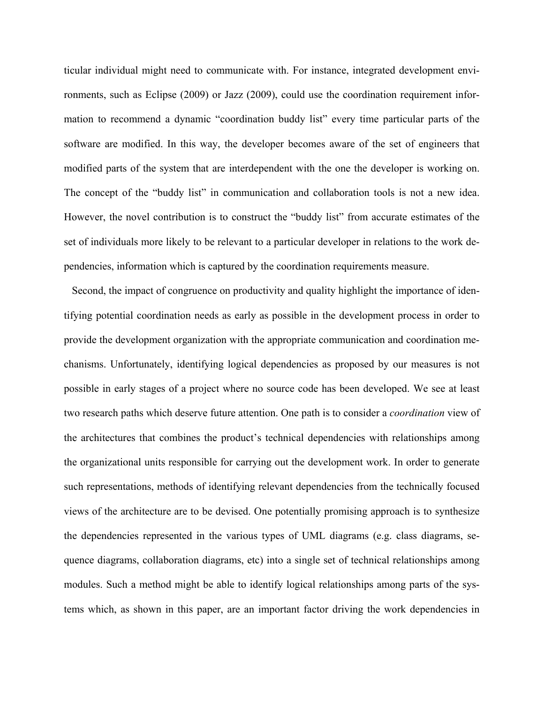ticular individual might need to communicate with. For instance, integrated development environments, such as Eclipse (2009) or Jazz (2009), could use the coordination requirement information to recommend a dynamic "coordination buddy list" every time particular parts of the software are modified. In this way, the developer becomes aware of the set of engineers that modified parts of the system that are interdependent with the one the developer is working on. The concept of the "buddy list" in communication and collaboration tools is not a new idea. However, the novel contribution is to construct the "buddy list" from accurate estimates of the set of individuals more likely to be relevant to a particular developer in relations to the work dependencies, information which is captured by the coordination requirements measure.

Second, the impact of congruence on productivity and quality highlight the importance of identifying potential coordination needs as early as possible in the development process in order to provide the development organization with the appropriate communication and coordination mechanisms. Unfortunately, identifying logical dependencies as proposed by our measures is not possible in early stages of a project where no source code has been developed. We see at least two research paths which deserve future attention. One path is to consider a *coordination* view of the architectures that combines the product's technical dependencies with relationships among the organizational units responsible for carrying out the development work. In order to generate such representations, methods of identifying relevant dependencies from the technically focused views of the architecture are to be devised. One potentially promising approach is to synthesize the dependencies represented in the various types of UML diagrams (e.g. class diagrams, sequence diagrams, collaboration diagrams, etc) into a single set of technical relationships among modules. Such a method might be able to identify logical relationships among parts of the systems which, as shown in this paper, are an important factor driving the work dependencies in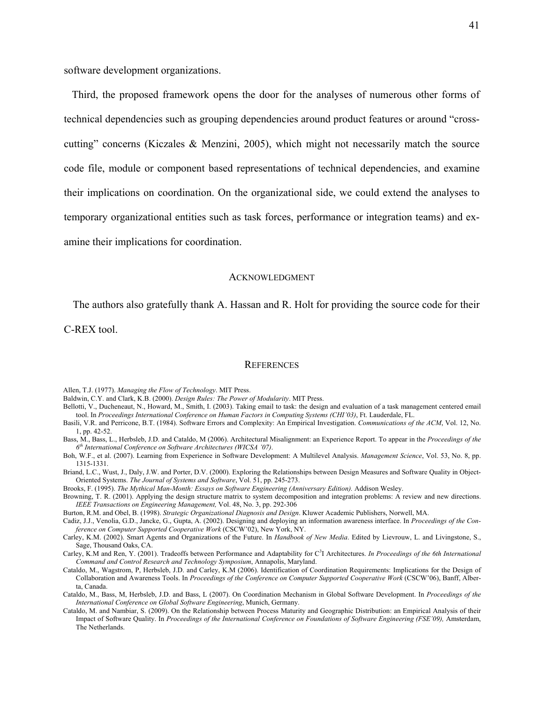Third, the proposed framework opens the door for the analyses of numerous other forms of technical dependencies such as grouping dependencies around product features or around "crosscutting" concerns (Kiczales & Menzini, 2005), which might not necessarily match the source code file, module or component based representations of technical dependencies, and examine their implications on coordination. On the organizational side, we could extend the analyses to temporary organizational entities such as task forces, performance or integration teams) and examine their implications for coordination.

#### ACKNOWLEDGMENT

The authors also gratefully thank A. Hassan and R. Holt for providing the source code for their

C-REX tool.

#### **REFERENCES**

Allen, T.J. (1977). *Managing the Flow of Technology*. MIT Press.

- Baldwin, C.Y. and Clark, K.B. (2000). *Design Rules: The Power of Modularity*. MIT Press.
- Bellotti, V., Ducheneaut, N., Howard, M., Smith, I. (2003). Taking email to task: the design and evaluation of a task management centered email tool. In *Proceedings International Conference on Human Factors in Computing Systems (CHI'03)*, Ft. Lauderdale, FL.
- Basili, V.R. and Perricone, B.T. (1984). Software Errors and Complexity: An Empirical Investigation. *Communications of the ACM*, Vol. 12, No. 1, pp. 42-52.
- Bass, M., Bass, L., Herbsleb, J.D. and Cataldo, M (2006). Architectural Misalignment: an Experience Report. To appear in the *Proceedings of the 6th International Conference on Software Architectures (WICSA '07)*.
- Boh, W.F., et al. (2007). Learning from Experience in Software Development: A Multilevel Analysis. *Management Science*, Vol. 53, No. 8, pp. 1315-1331.
- Briand, L.C., Wust, J., Daly, J.W. and Porter, D.V. (2000). Exploring the Relationships between Design Measures and Software Quality in Object-Oriented Systems. *The Journal of Systems and Software*, Vol. 51, pp. 245-273.

Brooks, F. (1995). *The Mythical Man-Month: Essays on Software Engineering (Anniversary Edition).* Addison Wesley.

Browning, T. R. (2001). Applying the design structure matrix to system decomposition and integration problems: A review and new directions. *IEEE Transactions on Engineering Management,* Vol. 48, No. 3, pp. 292-306

Burton, R.M. and Obel, B. (1998). *Strategic Organizational Diagnosis and Design*. Kluwer Academic Publishers, Norwell, MA.

Cadiz, J.J., Venolia, G.D., Jancke, G., Gupta, A. (2002). Designing and deploying an information awareness interface. In *Proceedings of the Conference on Computer Supported Cooperative Work* (CSCW'02), New York, NY.

Carley, K.M. (2002). Smart Agents and Organizations of the Future. In *Handbook of New Media*. Edited by Lievrouw, L. and Livingstone, S., Sage, Thousand Oaks, CA.

Carley, K.M and Ren, Y. (2001). Tradeoffs between Performance and Adaptability for C<sup>3</sup>I Architectures. In Proceedings of the 6th International *Command and Control Research and Technology Symposium*, Annapolis, Maryland.

Cataldo, M., Wagstrom, P, Herbsleb, J.D. and Carley, K.M (2006). Identification of Coordination Requirements: Implications for the Design of Collaboration and Awareness Tools. In *Proceedings of the Conference on Computer Supported Cooperative Work* (CSCW'06), Banff, Alberta, Canada.

Cataldo, M., Bass, M, Herbsleb, J.D. and Bass, L (2007). On Coordination Mechanism in Global Software Development. In *Proceedings of the International Conference on Global Software Engineering*, Munich, Germany.

Cataldo, M. and Nambiar, S. (2009). On the Relationship between Process Maturity and Geographic Distribution: an Empirical Analysis of their Impact of Software Quality. In *Proceedings of the International Conference on Foundations of Software Engineering (FSE'09),* Amsterdam, The Netherlands.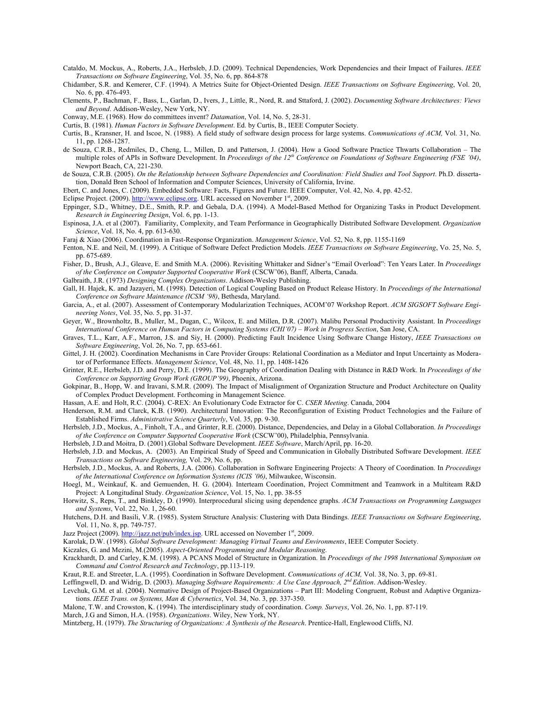- Cataldo, M. Mockus, A., Roberts, J.A., Herbsleb, J.D. (2009). Technical Dependencies, Work Dependencies and their Impact of Failures. *IEEE Transactions on Software Engineering*, Vol. 35, No. 6, pp. 864-878
- Chidamber, S.R. and Kemerer, C.F. (1994). A Metrics Suite for Object-Oriented Design. *IEEE Transactions on Software Engineering*, Vol. 20, No. 6, pp. 476-493.
- Clements, P., Bachman, F., Bass, L., Garlan, D., Ivers, J., Little, R., Nord, R. and Sttaford, J. (2002). *Documenting Software Architectures: Views and Beyond*. Addison-Wesley, New York, NY.
- Conway, M.E. (1968). How do committees invent? *Datamation*, Vol. 14, No. 5, 28-31.
- Curtis, B. (1981). *Human Factors in Software Development*. Ed. by Curtis, B., IEEE Computer Society.
- Curtis, B., Kransner, H. and Iscoe, N. (1988). A field study of software design process for large systems. *Communications of ACM,* Vol. 31, No. 11, pp. 1268-1287.
- de Souza, C.R.B., Redmiles, D., Cheng, L., Millen, D. and Patterson, J. (2004). How a Good Software Practice Thwarts Collaboration The multiple roles of APIs in Software Development. In *Proceedings of the 12th Conference on Foundations of Software Engineering (FSE '04)*, Newport Beach, CA, 221-230.
- de Souza, C.R.B. (2005). *On the Relationship between Software Dependencies and Coordination: Field Studies and Tool Support*. Ph.D. dissertation, Donald Bren School of Information and Computer Sciences, University of California, Irvine.

Ebert, C. and Jones, C. (2009). Embedded Software: Facts, Figures and Future. IEEE Computer, Vol. 42, No. 4, pp. 42-52.

- Eclipse Project. (2009). http://www.eclipse.org. URL accessed on November 1<sup>st</sup>, 2009.
- Eppinger, S.D., Whitney, D.E., Smith, R.P. and Gebala, D.A. (1994). A Model-Based Method for Organizing Tasks in Product Development. *Research in Engineering Design*, Vol. 6, pp. 1-13.
- Espinosa, J.A. et al (2007). Familiarity, Complexity, and Team Performance in Geographically Distributed Software Development. *Organization Science*, Vol. 18, No. 4, pp. 613-630.
- Faraj & Xiao (2006). Coordination in Fast-Response Organization. *Management Science*, Vol. 52, No. 8, pp. 1155-1169
- Fenton, N.E. and Neil, M. (1999). A Critique of Software Defect Prediction Models. *IEEE Transactions on Software Engineering*, Vo. 25, No. 5, pp. 675-689.
- Fisher, D., Brush, A.J., Gleave, E. and Smith M.A. (2006). Revisiting Whittaker and Sidner's "Email Overload": Ten Years Later. In *Proceedings of the Conference on Computer Supported Cooperative Work* (CSCW'06), Banff, Alberta, Canada.
- Galbraith, J.R. (1973) *Designing Complex Organizations*. Addison-Wesley Publishing.
- Gall, H. Hajek, K. and Jazayeri, M. (1998). Detection of Logical Coupling Based on Product Release History. In *Proceedings of the International Conference on Software Maintenance (ICSM '98)*, Bethesda, Maryland.
- Garcia, A., et al. (2007). Assessment of Contemporary Modularization Techniques, ACOM'07 Workshop Report. *ACM SIGSOFT Software Engineering Notes*, Vol. 35, No. 5, pp. 31-37.
- Geyer, W., Brownholtz, B., Muller, M., Dugan, C., Wilcox, E. and Millen, D.R. (2007). Malibu Personal Productivity Assistant. In *Proceedings International Conference on Human Factors in Computing Systems (CHI'07) – Work in Progress Section*, San Jose, CA.
- Graves, T.L., Karr, A.F., Marron, J.S. and Siy, H. (2000). Predicting Fault Incidence Using Software Change History, *IEEE Transactions on Software Engineering*, Vol. 26, No. 7, pp. 653-661.
- Gittel, J. H. (2002). Coordination Mechanisms in Care Provider Groups: Relational Coordination as a Mediator and Input Uncertainty as Moderator of Performance Effects. *Management Science*, Vol. 48, No. 11, pp. 1408-1426
- Grinter, R.E., Herbsleb, J.D. and Perry, D.E. (1999). The Geography of Coordination Dealing with Distance in R&D Work. In *Proceedings of the Conference on Supporting Group Work (GROUP'99)*, Phoenix, Arizona.
- Gokpinar, B., Hopp, W. and Iravani, S.M.R. (2009). The Impact of Misalignment of Organization Structure and Product Architecture on Quality of Complex Product Development. Forthcoming in Management Science.
- Hassan, A.E. and Holt, R.C. (2004). C-REX: An Evolutionary Code Extractor for C. *CSER Meeting*. Canada, 2004
- Henderson, R.M. and Clarck, K.B. (1990). Architectural Innovation: The Reconfiguration of Existing Product Technologies and the Failure of Established Firms. *Administrative Science Quarterly*, Vol. 35, pp. 9-30.
- Herbsleb, J.D., Mockus, A., Finholt, T.A., and Grinter, R.E. (2000). Distance, Dependencies, and Delay in a Global Collaboration. *In Proceedings of the Conference on Computer Supported Cooperative Work* (CSCW'00), Philadelphia, Pennsylvania.

Herbsleb, J.D.and Moitra, D. (2001).Global Software Development. *IEEE Software*, March/April, pp. 16-20.

- Herbsleb, J.D. and Mockus, A. (2003). An Empirical Study of Speed and Communication in Globally Distributed Software Development. *IEEE Transactions on Software Engineering,* Vol. 29, No. 6, pp.
- Herbsleb, J.D., Mockus, A. and Roberts, J.A. (2006). Collaboration in Software Engineering Projects: A Theory of Coordination. In *Proceedings of the International Conference on Information Systems (ICIS '06)*, Milwaukee, Wisconsin.
- Hoegl, M., Weinkauf, K. and Gemuenden, H. G. (2004). Interteam Coordination, Project Commitment and Teamwork in a Multiteam R&D Project: A Longitudinal Study. *Organization Science*, Vol. 15, No. 1, pp. 38-55
- Horwitz, S., Reps, T., and Binkley, D. (1990). Interprocedural slicing using dependence graphs. *ACM Transactions on Programming Languages and Systems*, Vol. 22, No. 1, 26-60.
- Hutchens, D.H. and Basili, V.R. (1985). System Structure Analysis: Clustering with Data Bindings. *IEEE Transactions on Software Engineering*, Vol. 11, No. 8, pp. 749-757.
- Jazz Project (2009). http://jazz.net/pub/index.jsp. URL accessed on November 1st, 2009.
- Karolak, D.W. (1998). *Global Software Development: Managing Virtual Teams and Environments*, IEEE Computer Society.
- Kiczales, G. and Mezini, M.(2005). *Aspect-Oriented Programming and Modular Reasoning*.
- Krackhardt, D. and Carley, K.M. (1998). A PCANS Model of Structure in Organization. In *Proceedings of the 1998 International Symposium on Command and Control Research and Technology*, pp.113-119.
- Kraut, R.E. and Streeter, L.A. (1995). Coordination in Software Development. *Communications of ACM,* Vol. 38, No. 3, pp. 69-81.
- Leffingwell, D. and Widrig, D. (2003). *Managing Software Requirements: A Use Case Approach, 2nd Edition*. Addison-Wesley.
- Levchuk, G.M. et al. (2004). Normative Design of Project-Based Organizations Part III: Modeling Congruent, Robust and Adaptive Organizations. *IEEE Trans. on Systems, Man & Cybernetics*, Vol. 34, No. 3, pp. 337-350.
- Malone, T.W. and Crowston, K. (1994). The interdisciplinary study of coordination. *Comp. Surveys*, Vol. 26, No. 1, pp. 87-119.
- March, J.G and Simon, H.A. (1958). *Organizations*. Wiley, New York, NY.
- Mintzberg, H. (1979). *The Structuring of Organizations: A Synthesis of the Research*. Prentice-Hall, Englewood Cliffs, NJ.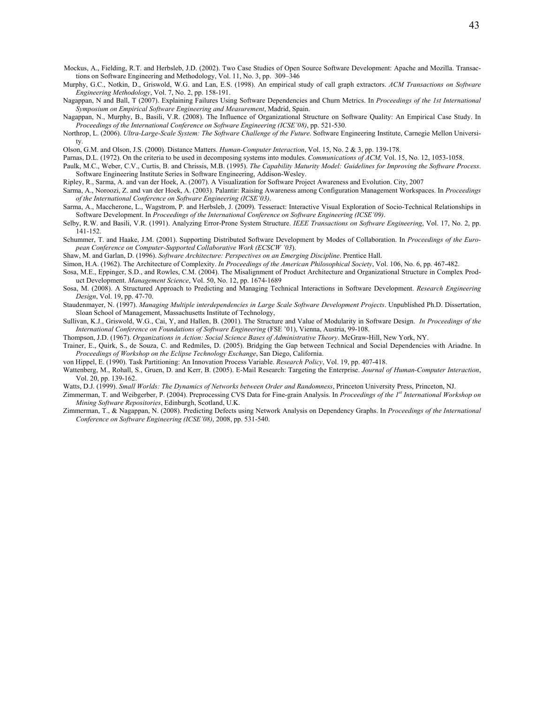- Mockus, A., Fielding, R.T. and Herbsleb, J.D. (2002). Two Case Studies of Open Source Software Development: Apache and Mozilla. Transactions on Software Engineering and Methodology, Vol. 11, No. 3, pp. 309–346
- Murphy, G.C., Notkin, D., Griswold, W.G. and Lan, E.S. (1998). An empirical study of call graph extractors. *ACM Transactions on Software Engineering Methodology*, Vol. 7, No. 2, pp. 158-191.
- Nagappan, N and Ball, T (2007). Explaining Failures Using Software Dependencies and Churn Metrics. In *Proceedings of the 1st International Symposium on Empirical Software Engineering and Measurement*, Madrid, Spain.
- Nagappan, N., Murphy, B., Basili, V.R. (2008). The Influence of Organizational Structure on Software Quality: An Empirical Case Study. In *Proceedings of the International Conference on Software Engineering (ICSE'08)*, pp. 521-530.
- Northrop, L. (2006). *Ultra-Large-Scale System: The Software Challenge of the Future*. Software Engineering Institute, Carnegie Mellon University.

Olson, G.M. and Olson, J.S. (2000). Distance Matters. *Human-Computer Interaction*, Vol. 15, No. 2 & 3, pp. 139-178.

Parnas, D.L. (1972). On the criteria to be used in decomposing systems into modules. *Communications of ACM,* Vol. 15, No. 12, 1053-1058. Paulk, M.C., Weber, C.V., Curtis, B. and Chrissis, M.B. (1995). *The Capability Maturity Model: Guidelines for Improving the Software Process*.

Software Engineering Institute Series in Software Engineering, Addison-Wesley.

- Ripley, R., Sarma, A. and van der Hoek, A. (2007). A Visualization for Software Project Awareness and Evolution. City, 2007
- Sarma, A., Noroozi, Z. and van der Hoek, A. (2003). Palantir: Raising Awareness among Configuration Management Workspaces. In *Proceedings of the International Conference on Software Engineering (ICSE'03)*.
- Sarma, A., Maccherone, L., Wagstrom, P. and Herbsleb, J. (2009). Tesseract: Interactive Visual Exploration of Socio-Technical Relationships in Software Development. In *Proceedings of the International Conference on Software Engineering (ICSE'09)*.
- Selby, R.W. and Basili, V.R. (1991). Analyzing Error-Prone System Structure. *IEEE Transactions on Software Engineering*, Vol. 17, No. 2, pp. 141-152.
- Schummer, T. and Haake, J.M. (2001). Supporting Distributed Software Development by Modes of Collaboration. In *Proceedings of the European Conference on Computer-Supported Collaborative Work (ECSCW '03*).

Shaw, M. and Garlan, D. (1996). *Software Architecture: Perspectives on an Emerging Discipline*. Prentice Hall.

Simon, H.A. (1962). The Architecture of Complexity. *In Proceedings of the American Philosophical Society*, Vol. 106, No. 6, pp. 467-482.

- Sosa, M.E., Eppinger, S.D., and Rowles, C.M. (2004). The Misalignment of Product Architecture and Organizational Structure in Complex Product Development. *Management Science*, Vol. 50, No. 12, pp. 1674-1689
- Sosa, M. (2008). A Structured Approach to Predicting and Managing Technical Interactions in Software Development. *Research Engineering Design*, Vol. 19, pp. 47-70.
- Staudenmayer, N. (1997). *Managing Multiple interdependencies in Large Scale Software Development Projects*. Unpublished Ph.D. Dissertation, Sloan School of Management, Massachusetts Institute of Technology,
- Sullivan, K.J., Griswold, W.G., Cai, Y, and Hallen, B. (2001). The Structure and Value of Modularity in Software Design. *In Proceedings of the International Conference on Foundations of Software Engineering* (FSE '01), Vienna, Austria, 99-108.
- Thompson, J.D. (1967). *Organizations in Action: Social Science Bases of Administrative Theory*. McGraw-Hill, New York, NY.
- Trainer, E., Quirk, S., de Souza, C. and Redmiles, D. (2005). Bridging the Gap between Technical and Social Dependencies with Ariadne. In *Proceedings of Workshop on the Eclipse Technology Exchange*, San Diego, California.
- von Hippel, E. (1990). Task Partitioning: An Innovation Process Variable. *Research Policy*, Vol. 19, pp. 407-418.
- Wattenberg, M., Rohall, S., Gruen, D. and Kerr, B. (2005). E-Mail Research: Targeting the Enterprise. *Journal of Human-Computer Interaction*, Vol. 20, pp. 139-162.

Watts, D.J. (1999). *Small Worlds: The Dynamics of Networks between Order and Randomness*, Princeton University Press, Princeton, NJ.

- Zimmerman, T. and Weibgerber, P. (2004). Preprocessing CVS Data for Fine-grain Analysis. In *Proceedings of the 1st International Workshop on Mining Software Repositories*, Edinburgh, Scotland, U.K.
- Zimmerman, T., & Nagappan, N. (2008). Predicting Defects using Network Analysis on Dependency Graphs. In *Proceedings of the International Conference on Software Engineering (ICSE'08)*, 2008, pp. 531-540.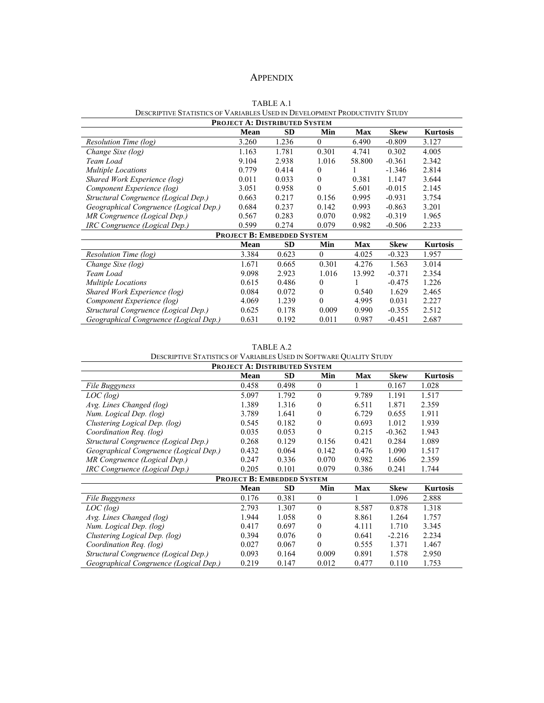## APPENDIX

|                                                                            | TABLE A.1 |  |
|----------------------------------------------------------------------------|-----------|--|
| DESCRIPTIVE STATISTICS OF VARIABLES USED IN DEVELOPMENT PRODUCTIVITY STUDY |           |  |
|                                                                            |           |  |

| PROJECT A: DISTRIBUTED SYSTEM          |             |                                   |                |            |             |                 |  |
|----------------------------------------|-------------|-----------------------------------|----------------|------------|-------------|-----------------|--|
|                                        | <b>Mean</b> | <b>SD</b>                         | Min            | <b>Max</b> | <b>Skew</b> | <b>Kurtosis</b> |  |
| Resolution Time (log)                  | 3.260       | 1.236                             | $\theta$       | 6.490      | $-0.809$    | 3.127           |  |
| Change Sixe (log)                      | 1.163       | 1.781                             | 0.301          | 4.741      | 0.302       | 4.005           |  |
| Team Load                              | 9.104       | 2.938                             | 1.016          | 58.800     | $-0.361$    | 2.342           |  |
| <b>Multiple Locations</b>              | 0.779       | 0.414                             | $\theta$       |            | $-1.346$    | 2.814           |  |
| Shared Work Experience (log)           | 0.011       | 0.033                             | $\theta$       | 0.381      | 1.147       | 3.644           |  |
| Component Experience (log)             | 3.051       | 0.958                             | $\theta$       | 5.601      | $-0.015$    | 2.145           |  |
| Structural Congruence (Logical Dep.)   | 0.663       | 0.217                             | 0.156          | 0.995      | $-0.931$    | 3.754           |  |
| Geographical Congruence (Logical Dep.) | 0.684       | 0.237                             | 0.142          | 0.993      | $-0.863$    | 3.201           |  |
| MR Congruence (Logical Dep.)           | 0.567       | 0.283                             | 0.070          | 0.982      | $-0.319$    | 1.965           |  |
| IRC Congruence (Logical Dep.)          | 0.599       | 0.274                             | 0.079          | 0.982      | $-0.506$    | 2.233           |  |
|                                        |             | <b>PROJECT B: EMBEDDED SYSTEM</b> |                |            |             |                 |  |
|                                        | <b>Mean</b> | <b>SD</b>                         | Min            | <b>Max</b> | <b>Skew</b> | <b>Kurtosis</b> |  |
| Resolution Time (log)                  | 3.384       | 0.623                             | $\theta$       | 4.025      | $-0.323$    | 1.957           |  |
| Change Sixe (log)                      | 1.671       | 0.665                             | 0.301          | 4.276      | 1.563       | 3.014           |  |
| Team Load                              | 9.098       | 2.923                             | 1.016          | 13.992     | $-0.371$    | 2.354           |  |
| <b>Multiple Locations</b>              | 0.615       | 0.486                             | $\overline{0}$ | 1          | $-0.475$    | 1.226           |  |
| Shared Work Experience (log)           | 0.084       | 0.072                             | $\Omega$       | 0.540      | 1.629       | 2.465           |  |
| Component Experience (log)             | 4.069       | 1.239                             | $\mathbf{0}$   | 4.995      | 0.031       | 2.227           |  |
| Structural Congruence (Logical Dep.)   | 0.625       | 0.178                             | 0.009          | 0.990      | $-0.355$    | 2.512           |  |
| Geographical Congruence (Logical Dep.) | 0.631       | 0.192                             | 0.011          | 0.987      | $-0.451$    | 2.687           |  |

TABLE A.2

| DESCRIPTIVE STATISTICS OF VARIABLES USED IN SOFTWARE QUALITY STUDY |
|--------------------------------------------------------------------|
|--------------------------------------------------------------------|

| PROJECT A: DISTRIBUTED SYSTEM          |       |                                   |          |       |             |                 |  |
|----------------------------------------|-------|-----------------------------------|----------|-------|-------------|-----------------|--|
|                                        | Mean  | <b>SD</b>                         | Min      | Max   | <b>Skew</b> | <b>Kurtosis</b> |  |
| File Buggyness                         | 0.458 | 0.498                             | $\theta$ |       | 0.167       | 1.028           |  |
| LOC(log)                               | 5.097 | 1.792                             | $\theta$ | 9.789 | 1.191       | 1.517           |  |
| Avg. Lines Changed (log)               | 1.389 | 1.316                             | $\Omega$ | 6.511 | 1.871       | 2.359           |  |
| Num. Logical Dep. (log)                | 3.789 | 1.641                             | 0        | 6.729 | 0.655       | 1.911           |  |
| Clustering Logical Dep. (log)          | 0.545 | 0.182                             | $\Omega$ | 0.693 | 1.012       | 1.939           |  |
| Coordination Req. (log)                | 0.035 | 0.053                             | $\theta$ | 0.215 | $-0.362$    | 1.943           |  |
| Structural Congruence (Logical Dep.)   | 0.268 | 0.129                             | 0.156    | 0.421 | 0.284       | 1.089           |  |
| Geographical Congruence (Logical Dep.) | 0.432 | 0.064                             | 0.142    | 0.476 | 1.090       | 1.517           |  |
| MR Congruence (Logical Dep.)           | 0.247 | 0.336                             | 0.070    | 0.982 | 1.606       | 2.359           |  |
| IRC Congruence (Logical Dep.)          | 0.205 | 0.101                             | 0.079    | 0.386 | 0.241       | 1.744           |  |
|                                        |       | <b>PROJECT B: EMBEDDED SYSTEM</b> |          |       |             |                 |  |
|                                        | Mean  | <b>SD</b>                         | Min      | Max   | <b>Skew</b> | <b>Kurtosis</b> |  |
| File Buggyness                         | 0.176 | 0.381                             | $\theta$ |       | 1.096       | 2.888           |  |
| LOC(log)                               | 2.793 | 1.307                             | $\Omega$ | 8.587 | 0.878       | 1.318           |  |
| Avg. Lines Changed (log)               | 1.944 | 1.058                             | $\theta$ | 8.861 | 1.264       | 1.757           |  |
| Num. Logical Dep. (log)                | 0.417 | 0.697                             | 0        | 4.111 | 1.710       | 3.345           |  |
| Clustering Logical Dep. (log)          | 0.394 | 0.076                             | $\theta$ | 0.641 | $-2.216$    | 2.234           |  |
| Coordination Req. (log)                | 0.027 | 0.067                             | $\theta$ | 0.555 | 1.371       | 1.467           |  |
| Structural Congruence (Logical Dep.)   | 0.093 | 0.164                             | 0.009    | 0.891 | 1.578       | 2.950           |  |
| Geographical Congruence (Logical Dep.) | 0.219 | 0.147                             | 0.012    | 0.477 | 0.110       | 1.753           |  |